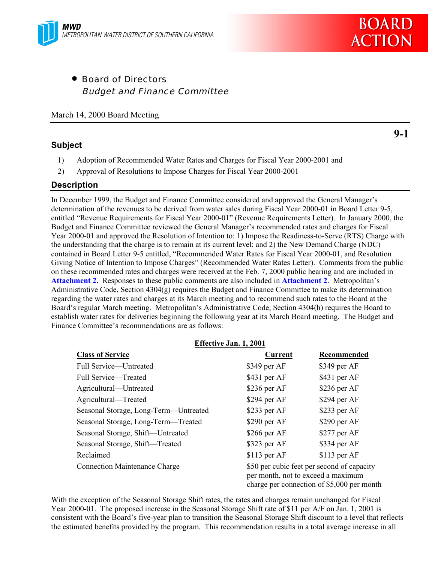

• Board of Directors Budget and Finance Committee

March 14, 2000 Board Meeting

#### **Subject**

**9-1**

- 1) Adoption of Recommended Water Rates and Charges for Fiscal Year 2000-2001 and
- 2) Approval of Resolutions to Impose Charges for Fiscal Year 2000-2001

#### **Description**

In December 1999, the Budget and Finance Committee considered and approved the General Manager's determination of the revenues to be derived from water sales during Fiscal Year 2000-01 in Board Letter 9-5, entitled "Revenue Requirements for Fiscal Year 2000-01" (Revenue Requirements Letter). In January 2000, the Budget and Finance Committee reviewed the General Manager's recommended rates and charges for Fiscal Year 2000-01 and approved the Resolution of Intention to: 1) Impose the Readiness-to-Serve (RTS) Charge with the understanding that the charge is to remain at its current level; and 2) the New Demand Charge (NDC) contained in Board Letter 9-5 entitled, "Recommended Water Rates for Fiscal Year 2000-01, and Resolution Giving Notice of Intention to Impose Charges" (Recommended Water Rates Letter). Comments from the public on these recommended rates and charges were received at the Feb. 7, 2000 public hearing and are included in **Attachment 2.** Responses to these public comments are also included in **Attachment 2**. Metropolitan's Administrative Code, Section 4304(g) requires the Budget and Finance Committee to make its determination regarding the water rates and charges at its March meeting and to recommend such rates to the Board at the Board's regular March meeting. Metropolitan's Administrative Code, Section 4304(h) requires the Board to establish water rates for deliveries beginning the following year at its March Board meeting. The Budget and Finance Committee's recommendations are as follows:

|                                       | Effective Jan. 1, 2001                                                                                                         |               |  |  |
|---------------------------------------|--------------------------------------------------------------------------------------------------------------------------------|---------------|--|--|
| <b>Class of Service</b>               | <b>Current</b>                                                                                                                 | Recommended   |  |  |
| Full Service-Untreated                | \$349 per AF                                                                                                                   | \$349 per AF  |  |  |
| Full Service-Treated                  | \$431 per AF                                                                                                                   | \$431 per AF  |  |  |
| Agricultural—Untreated                | $$236$ per AF                                                                                                                  | $$236$ per AF |  |  |
| Agricultural—Treated                  | $$294$ per AF                                                                                                                  | \$294 per AF  |  |  |
| Seasonal Storage, Long-Term—Untreated | $$233$ per AF                                                                                                                  | \$233 per AF  |  |  |
| Seasonal Storage, Long-Term-Treated   | $$290$ per AF                                                                                                                  | \$290 per AF  |  |  |
| Seasonal Storage, Shift-Untreated     | $$266$ per AF                                                                                                                  | $$277$ per AF |  |  |
| Seasonal Storage, Shift-Treated       | \$323 per AF                                                                                                                   | \$334 per AF  |  |  |
| Reclaimed                             | $$113$ per AF                                                                                                                  | $$113$ per AF |  |  |
| <b>Connection Maintenance Charge</b>  | \$50 per cubic feet per second of capacity<br>per month, not to exceed a maximum<br>charge per connection of \$5,000 per month |               |  |  |

With the exception of the Seasonal Storage Shift rates, the rates and charges remain unchanged for Fiscal Year 2000-01. The proposed increase in the Seasonal Storage Shift rate of \$11 per A/F on Jan. 1, 2001 is consistent with the Board's five-year plan to transition the Seasonal Storage Shift discount to a level that reflects the estimated benefits provided by the program. This recommendation results in a total average increase in all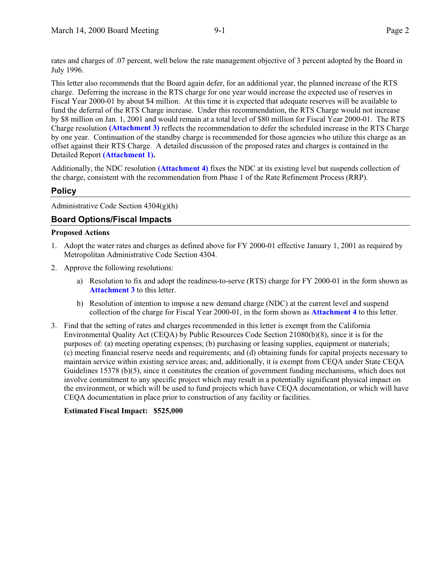rates and charges of .07 percent, well below the rate management objective of 3 percent adopted by the Board in July 1996.

This letter also recommends that the Board again defer, for an additional year, the planned increase of the RTS charge. Deferring the increase in the RTS charge for one year would increase the expected use of reserves in Fiscal Year 2000-01 by about \$4 million. At this time it is expected that adequate reserves will be available to fund the deferral of the RTS Charge increase. Under this recommendation, the RTS Charge would not increase by \$8 million on Jan. 1, 2001 and would remain at a total level of \$80 million for Fiscal Year 2000-01. The RTS Charge resolution **(Attachment 3)** reflects the recommendation to defer the scheduled increase in the RTS Charge by one year. Continuation of the standby charge is recommended for those agencies who utilize this charge as an offset against their RTS Charge. A detailed discussion of the proposed rates and charges is contained in the Detailed Report **(Attachment 1).**

Additionally, the NDC resolution **(Attachment 4)** fixes the NDC at its existing level but suspends collection of the charge, consistent with the recommendation from Phase 1 of the Rate Refinement Process (RRP).

#### **Policy**

Administrative Code Section  $4304(g)(h)$ 

#### **Board Options/Fiscal Impacts**

#### **Proposed Actions**

- 1. Adopt the water rates and charges as defined above for FY 2000-01 effective January 1, 2001 as required by Metropolitan Administrative Code Section 4304.
- 2. Approve the following resolutions:
	- a) Resolution to fix and adopt the readiness-to-serve (RTS) charge for FY 2000-01 in the form shown as **Attachment 3** to this letter.
	- b) Resolution of intention to impose a new demand charge (NDC) at the current level and suspend collection of the charge for Fiscal Year 2000-01, in the form shown as **Attachment 4** to this letter.
- 3. Find that the setting of rates and charges recommended in this letter is exempt from the California Environmental Quality Act (CEQA) by Public Resources Code Section 21080(b)(8), since it is for the purposes of: (a) meeting operating expenses; (b) purchasing or leasing supplies, equipment or materials; (c) meeting financial reserve needs and requirements; and (d) obtaining funds for capital projects necessary to maintain service within existing service areas; and, additionally, it is exempt from CEQA under State CEQA Guidelines 15378 (b)(5), since it constitutes the creation of government funding mechanisms, which does not involve commitment to any specific project which may result in a potentially significant physical impact on the environment, or which will be used to fund projects which have CEQA documentation, or which will have CEQA documentation in place prior to construction of any facility or facilities.

#### **Estimated Fiscal Impact: \$525,000**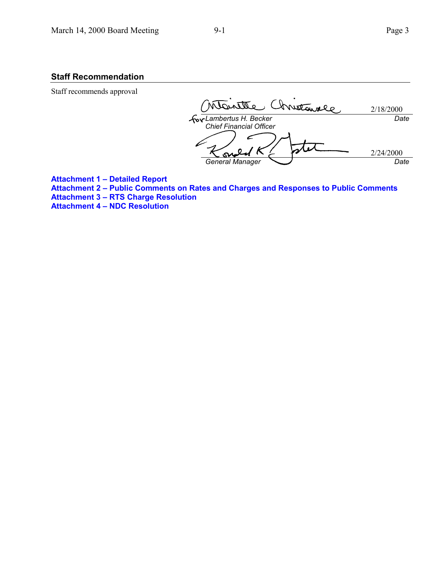#### **Staff Recommendation**

Staff recommends approval

Dirette Christannie 2/18/2000 *Lambertus H. Becker Date Chief Financial Officer* 2/24/2000 S *General Manager Date*

**Attachment 1 – Detailed Report Attachment 2 – Public Comments on Rates and Charges and Responses to Public Comments Attachment 3 – RTS Charge Resolution Attachment 4 – NDC Resolution**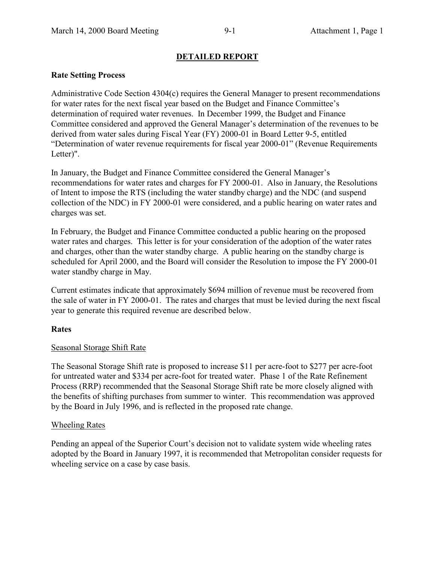#### **DETAILED REPORT**

#### **Rate Setting Process**

Administrative Code Section 4304(c) requires the General Manager to present recommendations for water rates for the next fiscal year based on the Budget and Finance Committee's determination of required water revenues. In December 1999, the Budget and Finance Committee considered and approved the General Manager's determination of the revenues to be derived from water sales during Fiscal Year (FY) 2000-01 in Board Letter 9-5, entitled "Determination of water revenue requirements for fiscal year 2000-01" (Revenue Requirements Letter)".

In January, the Budget and Finance Committee considered the General Manager's recommendations for water rates and charges for FY 2000-01. Also in January, the Resolutions of Intent to impose the RTS (including the water standby charge) and the NDC (and suspend collection of the NDC) in FY 2000-01 were considered, and a public hearing on water rates and charges was set.

In February, the Budget and Finance Committee conducted a public hearing on the proposed water rates and charges. This letter is for your consideration of the adoption of the water rates and charges, other than the water standby charge. A public hearing on the standby charge is scheduled for April 2000, and the Board will consider the Resolution to impose the FY 2000-01 water standby charge in May.

Current estimates indicate that approximately \$694 million of revenue must be recovered from the sale of water in FY 2000-01. The rates and charges that must be levied during the next fiscal year to generate this required revenue are described below.

#### **Rates**

#### Seasonal Storage Shift Rate

The Seasonal Storage Shift rate is proposed to increase \$11 per acre-foot to \$277 per acre-foot for untreated water and \$334 per acre-foot for treated water. Phase 1 of the Rate Refinement Process (RRP) recommended that the Seasonal Storage Shift rate be more closely aligned with the benefits of shifting purchases from summer to winter. This recommendation was approved by the Board in July 1996, and is reflected in the proposed rate change.

#### Wheeling Rates

Pending an appeal of the Superior Court's decision not to validate system wide wheeling rates adopted by the Board in January 1997, it is recommended that Metropolitan consider requests for wheeling service on a case by case basis.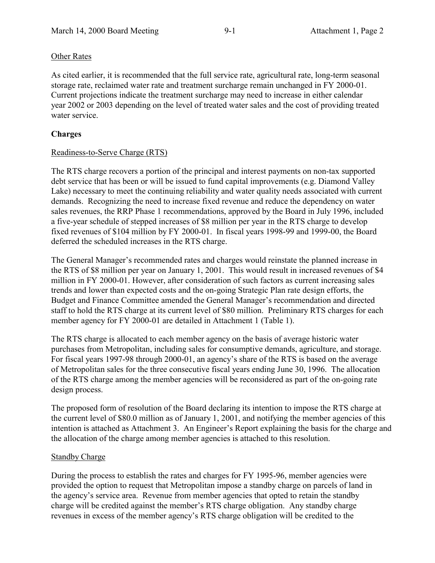#### Other Rates

As cited earlier, it is recommended that the full service rate, agricultural rate, long-term seasonal storage rate, reclaimed water rate and treatment surcharge remain unchanged in FY 2000-01. Current projections indicate the treatment surcharge may need to increase in either calendar year 2002 or 2003 depending on the level of treated water sales and the cost of providing treated water service.

#### **Charges**

#### Readiness-to-Serve Charge (RTS)

The RTS charge recovers a portion of the principal and interest payments on non-tax supported debt service that has been or will be issued to fund capital improvements (e.g. Diamond Valley Lake) necessary to meet the continuing reliability and water quality needs associated with current demands. Recognizing the need to increase fixed revenue and reduce the dependency on water sales revenues, the RRP Phase 1 recommendations, approved by the Board in July 1996, included a five-year schedule of stepped increases of \$8 million per year in the RTS charge to develop fixed revenues of \$104 million by FY 2000-01. In fiscal years 1998-99 and 1999-00, the Board deferred the scheduled increases in the RTS charge.

The General Manager's recommended rates and charges would reinstate the planned increase in the RTS of \$8 million per year on January 1, 2001. This would result in increased revenues of \$4 million in FY 2000-01. However, after consideration of such factors as current increasing sales trends and lower than expected costs and the on-going Strategic Plan rate design efforts, the Budget and Finance Committee amended the General Manager's recommendation and directed staff to hold the RTS charge at its current level of \$80 million. Preliminary RTS charges for each member agency for FY 2000-01 are detailed in Attachment 1 (Table 1).

The RTS charge is allocated to each member agency on the basis of average historic water purchases from Metropolitan, including sales for consumptive demands, agriculture, and storage. For fiscal years 1997-98 through 2000-01, an agency's share of the RTS is based on the average of Metropolitan sales for the three consecutive fiscal years ending June 30, 1996. The allocation of the RTS charge among the member agencies will be reconsidered as part of the on-going rate design process.

The proposed form of resolution of the Board declaring its intention to impose the RTS charge at the current level of \$80.0 million as of January 1, 2001, and notifying the member agencies of this intention is attached as Attachment 3. An Engineer's Report explaining the basis for the charge and the allocation of the charge among member agencies is attached to this resolution.

#### Standby Charge

During the process to establish the rates and charges for FY 1995-96, member agencies were provided the option to request that Metropolitan impose a standby charge on parcels of land in the agency's service area. Revenue from member agencies that opted to retain the standby charge will be credited against the member's RTS charge obligation. Any standby charge revenues in excess of the member agency's RTS charge obligation will be credited to the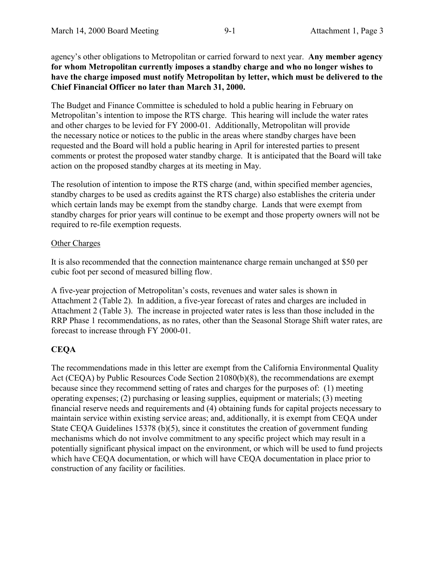agency's other obligations to Metropolitan or carried forward to next year. **Any member agency for whom Metropolitan currently imposes a standby charge and who no longer wishes to have the charge imposed must notify Metropolitan by letter, which must be delivered to the Chief Financial Officer no later than March 31, 2000.**

The Budget and Finance Committee is scheduled to hold a public hearing in February on Metropolitan's intention to impose the RTS charge. This hearing will include the water rates and other charges to be levied for FY 2000-01. Additionally, Metropolitan will provide the necessary notice or notices to the public in the areas where standby charges have been requested and the Board will hold a public hearing in April for interested parties to present comments or protest the proposed water standby charge. It is anticipated that the Board will take action on the proposed standby charges at its meeting in May.

The resolution of intention to impose the RTS charge (and, within specified member agencies, standby charges to be used as credits against the RTS charge) also establishes the criteria under which certain lands may be exempt from the standby charge. Lands that were exempt from standby charges for prior years will continue to be exempt and those property owners will not be required to re-file exemption requests.

#### Other Charges

It is also recommended that the connection maintenance charge remain unchanged at \$50 per cubic foot per second of measured billing flow.

A five-year projection of Metropolitan's costs, revenues and water sales is shown in Attachment 2 (Table 2). In addition, a five-year forecast of rates and charges are included in Attachment 2 (Table 3). The increase in projected water rates is less than those included in the RRP Phase 1 recommendations, as no rates, other than the Seasonal Storage Shift water rates, are forecast to increase through FY 2000-01.

#### **CEQA**

The recommendations made in this letter are exempt from the California Environmental Quality Act (CEQA) by Public Resources Code Section 21080(b)(8), the recommendations are exempt because since they recommend setting of rates and charges for the purposes of: (1) meeting operating expenses; (2) purchasing or leasing supplies, equipment or materials; (3) meeting financial reserve needs and requirements and (4) obtaining funds for capital projects necessary to maintain service within existing service areas; and, additionally, it is exempt from CEQA under State CEQA Guidelines 15378 (b)(5), since it constitutes the creation of government funding mechanisms which do not involve commitment to any specific project which may result in a potentially significant physical impact on the environment, or which will be used to fund projects which have CEOA documentation, or which will have CEOA documentation in place prior to construction of any facility or facilities.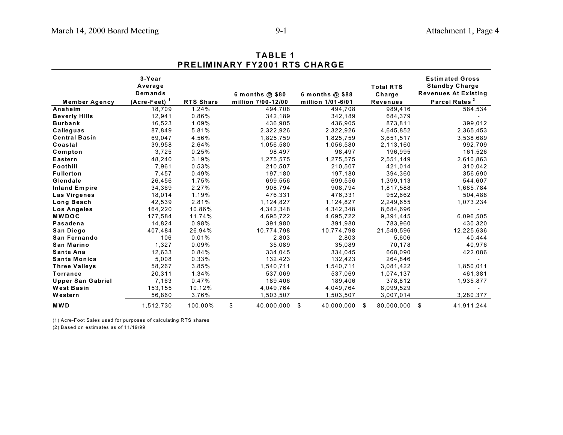|                          |                                                |                  | <b>PRELIMINARY FY2001 RTS CHARGE</b>    |                                        |                                               |                                                                                                             |
|--------------------------|------------------------------------------------|------------------|-----------------------------------------|----------------------------------------|-----------------------------------------------|-------------------------------------------------------------------------------------------------------------|
| <b>Member Agency</b>     | 3-Year<br>Average<br>Demands<br>$(Acre-Feet)1$ | <b>RTS Share</b> | 6 months $@$ \$80<br>million 7/00-12/00 | 6 months $@$ \$88<br>million 1/01-6/01 | <b>Total RTS</b><br>Charge<br><b>Revenues</b> | <b>Estimated Gross</b><br><b>Standby Charge</b><br><b>Revenues At Existing</b><br>Parcel Rates <sup>2</sup> |
| Anaheim                  | 18,709                                         | 1.24%            | 494,708                                 | 494,708                                | 989,416                                       | 584,534                                                                                                     |
| <b>Beverly Hills</b>     | 12,941                                         | 0.86%            | 342,189                                 | 342,189                                | 684,379                                       |                                                                                                             |
| <b>Burbank</b>           | 16,523                                         | 1.09%            | 436,905                                 | 436,905                                | 873,811                                       | 399,012                                                                                                     |
| Calleguas                | 87,849                                         | 5.81%            | 2,322,926                               | 2,322,926                              | 4,645,852                                     | 2,365,453                                                                                                   |
| <b>Central Basin</b>     | 69,047                                         | 4.56%            | 1,825,759                               | 1,825,759                              | 3,651,517                                     | 3,538,689                                                                                                   |
| Coastal                  | 39,958                                         | 2.64%            | 1,056,580                               | 1,056,580                              | 2,113,160                                     | 992,709                                                                                                     |
| Compton                  | 3,725                                          | 0.25%            | 98,497                                  | 98,497                                 | 196,995                                       | 161,526                                                                                                     |
| <b>Eastern</b>           | 48,240                                         | 3.19%            | 1,275,575                               | 1,275,575                              | 2,551,149                                     | 2,610,863                                                                                                   |
| Foothill                 | 7,961                                          | 0.53%            | 210,507                                 | 210,507                                | 421,014                                       | 310,042                                                                                                     |
| <b>Fullerton</b>         | 7,457                                          | 0.49%            | 197,180                                 | 197,180                                | 394,360                                       | 356,690                                                                                                     |
| Glendale                 | 26,456                                         | 1.75%            | 699,556                                 | 699,556                                | 1,399,113                                     | 544,607                                                                                                     |
| <b>Inland Empire</b>     | 34,369                                         | 2.27%            | 908,794                                 | 908,794                                | 1,817,588                                     | 1,685,784                                                                                                   |
| <b>Las Virgenes</b>      | 18,014                                         | 1.19%            | 476,331                                 | 476,331                                | 952,662                                       | 504,488                                                                                                     |
| Long Beach               | 42,539                                         | 2.81%            | 1,124,827                               | 1,124,827                              | 2,249,655                                     | 1,073,234                                                                                                   |
| <b>Los Angeles</b>       | 164,220                                        | 10.86%           | 4,342,348                               | 4,342,348                              | 8,684,696                                     |                                                                                                             |
| <b>MWDOC</b>             | 177,584                                        | 11.74%           | 4,695,722                               | 4,695,722                              | 9,391,445                                     | 6,096,505                                                                                                   |
| <b>Pasadena</b>          | 14,824                                         | 0.98%            | 391,980                                 | 391,980                                | 783,960                                       | 430,320                                                                                                     |
| San Diego                | 407,484                                        | 26.94%           | 10,774,798                              | 10,774,798                             | 21,549,596                                    | 12,225,636                                                                                                  |
| San Fernando             | 106                                            | 0.01%            | 2,803                                   | 2,803                                  | 5,606                                         | 40,444                                                                                                      |
| San Marino               | 1,327                                          | 0.09%            | 35,089                                  | 35,089                                 | 70,178                                        | 40,976                                                                                                      |
| Santa Ana                | 12,633                                         | 0.84%            | 334,045                                 | 334,045                                | 668,090                                       | 422,086                                                                                                     |
| Santa Monica             | 5,008                                          | 0.33%            | 132,423                                 | 132,423                                | 264,846                                       |                                                                                                             |
| <b>Three Valleys</b>     | 58,267                                         | 3.85%            | 1,540,711                               | 1,540,711                              | 3,081,422                                     | 1,850,011                                                                                                   |
| <b>Torrance</b>          | 20,311                                         | 1.34%            | 537,069                                 | 537,069                                | 1,074,137                                     | 461,381                                                                                                     |
| <b>Upper San Gabriel</b> | 7,163                                          | 0.47%            | 189,406                                 | 189,406                                | 378,812                                       | 1,935,877                                                                                                   |
| <b>West Basin</b>        | 153,155                                        | 10.12%           | 4,049,764                               | 4,049,764                              | 8,099,529                                     |                                                                                                             |
| Western                  | 56,860                                         | 3.76%            | 1,503,507                               | 1,503,507                              | 3,007,014                                     | 3,280,377                                                                                                   |
| <b>MWD</b>               | 1,512,730                                      | 100.00%          | \$<br>40,000,000                        | \$<br>40,000,000                       | \$<br>80,000,000                              | \$<br>41,911,244                                                                                            |

# **TABLE 1**

(1) Acre-Foot Sales used for purposes of calculating RTS shares

(2) Based on estimates as of 11/19/99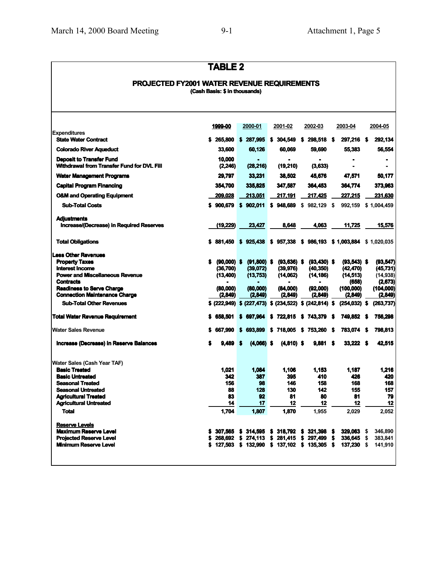### **TABLE 2**

#### **PROJECTED FY2001 WATER REVENUE REQUIREMENTS (Cash Basis: \$ in thousands)**

|                                                                                                | 1999-00                        | 2000-01                   | 2001-02                                   | 2002-03                     | 2003-04                         | 2004-05                           |
|------------------------------------------------------------------------------------------------|--------------------------------|---------------------------|-------------------------------------------|-----------------------------|---------------------------------|-----------------------------------|
| <b>Expenditures</b><br><b>State Water Contract</b>                                             |                                | \$ 265,800 \$ 287,995     | \$304,549                                 | 298,518 \$<br>s             | 297,216                         | 292,134<br>S                      |
| <b>Colorado River Aqueduct</b>                                                                 | 33.600                         | 60.126                    | 60.069                                    | 59.690                      | 55,383                          | 56,554                            |
| <b>Deposit to Transfer Fund</b><br>Withdrawal from Transfer Fund for DVL Fill                  | 10.000<br>(2, 246)             | (28, 216)                 | (19,210)                                  | (3,633)                     |                                 | $\blacksquare$                    |
| <b>Water Management Programs</b>                                                               | 29,797                         | 33,231                    | 38,502                                    | 45,676                      | 47,571                          | 50,177                            |
| <b>Capital Program Financing</b>                                                               | 354,700                        | 335.825                   | 347,587                                   | 364.453                     | 364,774                         | 373,963                           |
| <b>O&amp;M and Operating Equipment</b>                                                         | 209.028                        | 213.051                   | 217.191                                   | 217.425                     | 227.215                         | 231,630                           |
| <b>Sub-Total Costs</b>                                                                         | \$900.679                      | \$902.011                 | \$948,689                                 | \$982,129                   | 992,159                         | \$1,004,459                       |
| <b>Adiustments</b><br><b>Increase/(Decrease) in Required Reserves</b>                          | (19, 229)                      | 23,427                    | 8,648                                     | 4.063                       | 11,725                          | 15,576                            |
|                                                                                                |                                |                           |                                           |                             |                                 |                                   |
| <b>Total Obligations</b>                                                                       | 881.450                        | S<br>925,438              | \$957,338                                 | \$986.193                   | \$1,003,884                     | \$1,020,035                       |
| <b>Less Other Revenues</b><br><b>Property Taxes</b><br>Interest Income                         | $(90,000)$ \$<br>S<br>(36,700) | $(91,800)$ \$<br>(39,072) | $(93,636)$ \$<br>(39, 976)                | $(93, 430)$ \$<br>(40, 350) | $(93,543)$ \$<br>(42, 470)      | (93, 547)<br>(45, 731)            |
| <b>Power and Miscellaneous Revenue</b><br><b>Contracts</b><br><b>Readiness to Serve Charge</b> | (13,400)<br>(80.000)           | (13, 753)<br>(80,000)     | (14,062)<br>(84,000)                      | (14, 186)<br>(92,000)       | (14, 513)<br>(658)<br>(100,000) | (14, 938)<br>(2,673)<br>(104,000) |
| <b>Connection Maintenance Charge</b>                                                           | (2,849)                        | (2,849)                   | (2, 849)                                  | (2,849)                     | (2,849)                         | (2,849)                           |
| <b>Sub-Total Other Revenues</b>                                                                | \$ (222,949)                   |                           | \$ (227,473) \$ (234,522) \$ (242,814) \$ |                             | $(254, 032)$ \$                 | (263, 737)                        |
| <b>Total Water Revenue Requirement</b>                                                         | 658,501<br>S                   | 697,964<br>S              | \$722,815                                 | \$743,379                   | 749,852 \$<br>S                 | 756,298                           |
| <b>Water Sales Revenue</b>                                                                     | 667,990                        | 693.899<br>s              | 718.005<br>s                              | \$753,260                   | 783,074 \$<br>S                 | 798.813                           |
| Increase (Decrease) in Reserve Balances                                                        | 9.489                          | S<br>$(4,066)$ \$         | $(4,810)$ \$                              | 9.881                       | 33,222 \$                       | 42,515                            |
| Water Sales (Cash Year TAF)                                                                    |                                |                           |                                           |                             |                                 |                                   |
| <b>Basic Treated</b><br><b>Basic Untreated</b>                                                 | 1.021<br>342                   | 1,084<br>387              | 1,106<br>395                              | 1.153<br>410                | 1.187<br>426                    | 1,216<br>420                      |
| <b>Seasonal Treated</b>                                                                        | 156                            | 98                        | 146                                       | 158                         | 168                             | 168                               |
| <b>Seasonal Untreated</b>                                                                      | 88                             | 128                       | 130                                       | 142                         | 155                             | 157                               |
| <b>Agricultural Treated</b><br><b>Agricultural Untreated</b>                                   | 83<br>14                       | 92<br>17                  | 81<br>12                                  | 80<br>12                    | 81<br>12                        | 79<br>12                          |
| <b>Total</b>                                                                                   | 1,704                          | 1.807                     | 1,870                                     | 1,955                       | 2,029                           | 2,052                             |
| <b>Reserve Levels</b>                                                                          |                                |                           |                                           |                             |                                 |                                   |
| <b>Maximum Reserve Level</b>                                                                   | 307.565                        | s<br>314,595              | 318.792<br>s                              | s<br>321.398                | 329.063<br>S                    | 346.890<br>\$                     |
| <b>Projected Reserve Level</b>                                                                 | 268.692                        | S<br>274.113              | s<br>281.415                              | S<br>297.499                | S<br>336,645                    | 383,841<br>\$                     |
| <b>Minimum Reserve Level</b>                                                                   | \$127,503                      | \$132,990                 | \$137,102                                 | \$135,305                   | -S<br>137,230                   | 141,910<br>\$                     |
|                                                                                                |                                |                           |                                           |                             |                                 |                                   |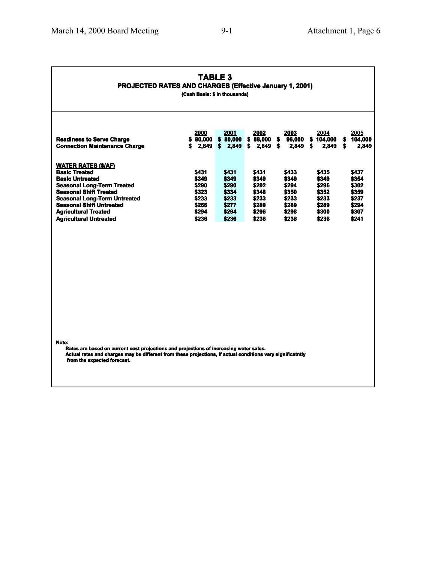#### **TABLE 3 PROJECTED RATES AND CHARGES (Effective January 1, 2001)**

**(Cash Basis: \$ in thousands)**

| <b>Readiness to Serve Charge</b><br><b>Connection Maintenance Charge</b>                                                                                                                                                                                                                     | 2000<br>\$80.000<br>2,849<br>s                                       | 2001<br>\$80,000<br>2.849<br>s                                       | 2002<br>88.000<br>s<br>2,849<br>S                                    | <u> 2003</u><br>96,000<br>S<br>2.849<br>S                            | 2004<br>104.000<br>s<br>2.849<br>5                                   | <u> 2005</u><br>104.000<br>s<br>2,849<br>s                           |
|----------------------------------------------------------------------------------------------------------------------------------------------------------------------------------------------------------------------------------------------------------------------------------------------|----------------------------------------------------------------------|----------------------------------------------------------------------|----------------------------------------------------------------------|----------------------------------------------------------------------|----------------------------------------------------------------------|----------------------------------------------------------------------|
| <b>WATER RATES (\$/AF)</b><br><b>Basic Treated</b><br><b>Basic Untreated</b><br><b>Seasonal Long-Term Treated</b><br><b>Seasonal Shift Treated</b><br><b>Seasonal Long-Term Untreated</b><br><b>Seasonal Shift Untreated</b><br><b>Agricultural Treated</b><br><b>Agricultural Untreated</b> | \$431<br>\$349<br>\$290<br>\$323<br>\$233<br>\$266<br>\$294<br>\$236 | \$431<br>\$349<br>\$290<br>\$334<br>\$233<br>\$277<br>\$294<br>\$236 | \$431<br>\$349<br>\$292<br>\$348<br>\$233<br>\$289<br>\$296<br>\$236 | \$433<br>\$349<br>\$294<br>\$350<br>\$233<br>\$289<br>\$298<br>\$236 | \$435<br>\$349<br>\$296<br>\$352<br>\$233<br>\$289<br>\$300<br>\$236 | \$437<br>\$354<br>\$302<br>\$359<br>\$237<br>\$294<br>\$307<br>\$241 |

**Note:**

**Rates are based on current cost projections and projections of increasing water sales.** Actual rates and charges may be different from these projections, if actual conditions vary significatntly **from the expected forecast.**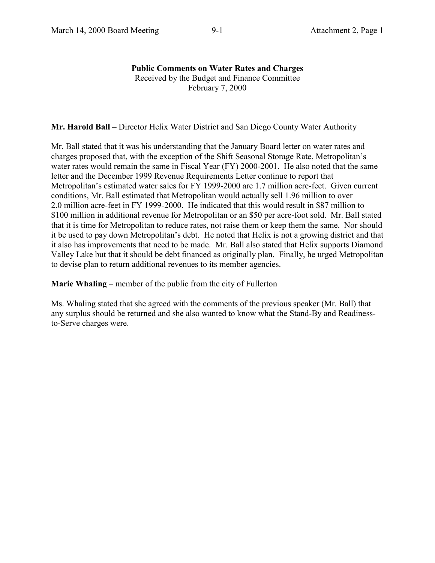#### **Public Comments on Water Rates and Charges** Received by the Budget and Finance Committee February 7, 2000

**Mr. Harold Ball** – Director Helix Water District and San Diego County Water Authority

Mr. Ball stated that it was his understanding that the January Board letter on water rates and charges proposed that, with the exception of the Shift Seasonal Storage Rate, Metropolitan's water rates would remain the same in Fiscal Year (FY) 2000-2001. He also noted that the same letter and the December 1999 Revenue Requirements Letter continue to report that Metropolitan's estimated water sales for FY 1999-2000 are 1.7 million acre-feet. Given current conditions, Mr. Ball estimated that Metropolitan would actually sell 1.96 million to over 2.0 million acre-feet in FY 1999-2000. He indicated that this would result in \$87 million to \$100 million in additional revenue for Metropolitan or an \$50 per acre-foot sold. Mr. Ball stated that it is time for Metropolitan to reduce rates, not raise them or keep them the same. Nor should it be used to pay down Metropolitan's debt. He noted that Helix is not a growing district and that it also has improvements that need to be made. Mr. Ball also stated that Helix supports Diamond Valley Lake but that it should be debt financed as originally plan. Finally, he urged Metropolitan to devise plan to return additional revenues to its member agencies.

**Marie Whaling** – member of the public from the city of Fullerton

Ms. Whaling stated that she agreed with the comments of the previous speaker (Mr. Ball) that any surplus should be returned and she also wanted to know what the Stand-By and Readinessto-Serve charges were.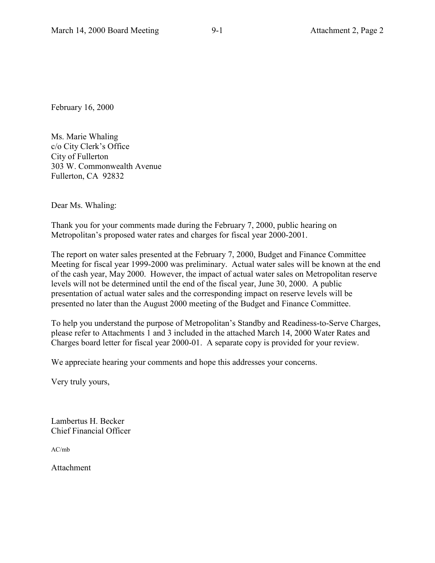February 16, 2000

Ms. Marie Whaling c/o City Clerk's Office City of Fullerton 303 W. Commonwealth Avenue Fullerton, CA 92832

Dear Ms. Whaling:

Thank you for your comments made during the February 7, 2000, public hearing on Metropolitan's proposed water rates and charges for fiscal year 2000-2001.

The report on water sales presented at the February 7, 2000, Budget and Finance Committee Meeting for fiscal year 1999-2000 was preliminary. Actual water sales will be known at the end of the cash year, May 2000. However, the impact of actual water sales on Metropolitan reserve levels will not be determined until the end of the fiscal year, June 30, 2000. A public presentation of actual water sales and the corresponding impact on reserve levels will be presented no later than the August 2000 meeting of the Budget and Finance Committee.

To help you understand the purpose of Metropolitan's Standby and Readiness-to-Serve Charges, please refer to Attachments 1 and 3 included in the attached March 14, 2000 Water Rates and Charges board letter for fiscal year 2000-01. A separate copy is provided for your review.

We appreciate hearing your comments and hope this addresses your concerns.

Very truly yours,

Lambertus H. Becker Chief Financial Officer

AC/mb

Attachment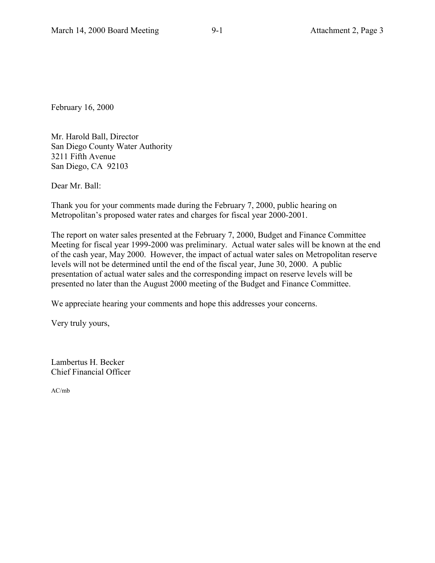February 16, 2000

Mr. Harold Ball, Director San Diego County Water Authority 3211 Fifth Avenue San Diego, CA 92103

Dear Mr. Ball:

Thank you for your comments made during the February 7, 2000, public hearing on Metropolitan's proposed water rates and charges for fiscal year 2000-2001.

The report on water sales presented at the February 7, 2000, Budget and Finance Committee Meeting for fiscal year 1999-2000 was preliminary. Actual water sales will be known at the end of the cash year, May 2000. However, the impact of actual water sales on Metropolitan reserve levels will not be determined until the end of the fiscal year, June 30, 2000. A public presentation of actual water sales and the corresponding impact on reserve levels will be presented no later than the August 2000 meeting of the Budget and Finance Committee.

We appreciate hearing your comments and hope this addresses your concerns.

Very truly yours,

Lambertus H. Becker Chief Financial Officer

AC/mb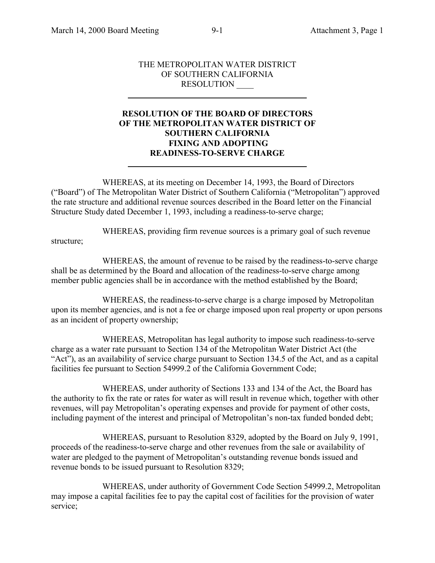l

 $\overline{a}$ 

#### THE METROPOLITAN WATER DISTRICT OF SOUTHERN CALIFORNIA RESOLUTION \_\_\_\_

#### **RESOLUTION OF THE BOARD OF DIRECTORS OF THE METROPOLITAN WATER DISTRICT OF SOUTHERN CALIFORNIA FIXING AND ADOPTING READINESS-TO-SERVE CHARGE**

WHEREAS, at its meeting on December 14, 1993, the Board of Directors ("Board") of The Metropolitan Water District of Southern California ("Metropolitan") approved the rate structure and additional revenue sources described in the Board letter on the Financial Structure Study dated December 1, 1993, including a readiness-to-serve charge;

WHEREAS, providing firm revenue sources is a primary goal of such revenue structure;

WHEREAS, the amount of revenue to be raised by the readiness-to-serve charge shall be as determined by the Board and allocation of the readiness-to-serve charge among member public agencies shall be in accordance with the method established by the Board;

WHEREAS, the readiness-to-serve charge is a charge imposed by Metropolitan upon its member agencies, and is not a fee or charge imposed upon real property or upon persons as an incident of property ownership;

WHEREAS, Metropolitan has legal authority to impose such readiness-to-serve charge as a water rate pursuant to Section 134 of the Metropolitan Water District Act (the "Act"), as an availability of service charge pursuant to Section 134.5 of the Act, and as a capital facilities fee pursuant to Section 54999.2 of the California Government Code;

WHEREAS, under authority of Sections 133 and 134 of the Act, the Board has the authority to fix the rate or rates for water as will result in revenue which, together with other revenues, will pay Metropolitan's operating expenses and provide for payment of other costs, including payment of the interest and principal of Metropolitan's non-tax funded bonded debt;

WHEREAS, pursuant to Resolution 8329, adopted by the Board on July 9, 1991, proceeds of the readiness-to-serve charge and other revenues from the sale or availability of water are pledged to the payment of Metropolitan's outstanding revenue bonds issued and revenue bonds to be issued pursuant to Resolution 8329;

WHEREAS, under authority of Government Code Section 54999.2, Metropolitan may impose a capital facilities fee to pay the capital cost of facilities for the provision of water service;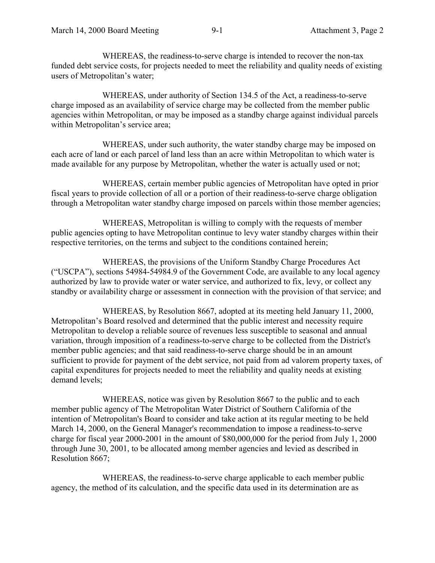WHEREAS, the readiness-to-serve charge is intended to recover the non-tax funded debt service costs, for projects needed to meet the reliability and quality needs of existing users of Metropolitan's water;

WHEREAS, under authority of Section 134.5 of the Act, a readiness-to-serve charge imposed as an availability of service charge may be collected from the member public agencies within Metropolitan, or may be imposed as a standby charge against individual parcels within Metropolitan's service area;

WHEREAS, under such authority, the water standby charge may be imposed on each acre of land or each parcel of land less than an acre within Metropolitan to which water is made available for any purpose by Metropolitan, whether the water is actually used or not;

WHEREAS, certain member public agencies of Metropolitan have opted in prior fiscal years to provide collection of all or a portion of their readiness-to-serve charge obligation through a Metropolitan water standby charge imposed on parcels within those member agencies;

WHEREAS, Metropolitan is willing to comply with the requests of member public agencies opting to have Metropolitan continue to levy water standby charges within their respective territories, on the terms and subject to the conditions contained herein;

WHEREAS, the provisions of the Uniform Standby Charge Procedures Act ("USCPA"), sections 54984-54984.9 of the Government Code, are available to any local agency authorized by law to provide water or water service, and authorized to fix, levy, or collect any standby or availability charge or assessment in connection with the provision of that service; and

WHEREAS, by Resolution 8667, adopted at its meeting held January 11, 2000, Metropolitan's Board resolved and determined that the public interest and necessity require Metropolitan to develop a reliable source of revenues less susceptible to seasonal and annual variation, through imposition of a readiness-to-serve charge to be collected from the District's member public agencies; and that said readiness-to-serve charge should be in an amount sufficient to provide for payment of the debt service, not paid from ad valorem property taxes, of capital expenditures for projects needed to meet the reliability and quality needs at existing demand levels;

WHEREAS, notice was given by Resolution 8667 to the public and to each member public agency of The Metropolitan Water District of Southern California of the intention of Metropolitan's Board to consider and take action at its regular meeting to be held March 14, 2000, on the General Manager's recommendation to impose a readiness-to-serve charge for fiscal year 2000-2001 in the amount of \$80,000,000 for the period from July 1, 2000 through June 30, 2001, to be allocated among member agencies and levied as described in Resolution 8667;

WHEREAS, the readiness-to-serve charge applicable to each member public agency, the method of its calculation, and the specific data used in its determination are as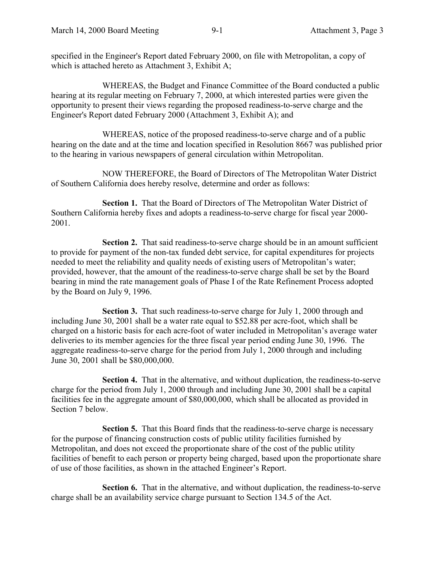specified in the Engineer's Report dated February 2000, on file with Metropolitan, a copy of which is attached hereto as Attachment 3, Exhibit A;

WHEREAS, the Budget and Finance Committee of the Board conducted a public hearing at its regular meeting on February 7, 2000, at which interested parties were given the opportunity to present their views regarding the proposed readiness-to-serve charge and the Engineer's Report dated February 2000 (Attachment 3, Exhibit A); and

WHEREAS, notice of the proposed readiness-to-serve charge and of a public hearing on the date and at the time and location specified in Resolution 8667 was published prior to the hearing in various newspapers of general circulation within Metropolitan.

NOW THEREFORE, the Board of Directors of The Metropolitan Water District of Southern California does hereby resolve, determine and order as follows:

**Section 1.** That the Board of Directors of The Metropolitan Water District of Southern California hereby fixes and adopts a readiness-to-serve charge for fiscal year 2000- 2001.

**Section 2.** That said readiness-to-serve charge should be in an amount sufficient to provide for payment of the non-tax funded debt service, for capital expenditures for projects needed to meet the reliability and quality needs of existing users of Metropolitan's water; provided, however, that the amount of the readiness-to-serve charge shall be set by the Board bearing in mind the rate management goals of Phase I of the Rate Refinement Process adopted by the Board on July 9, 1996.

**Section 3.** That such readiness-to-serve charge for July 1, 2000 through and including June 30, 2001 shall be a water rate equal to \$52.88 per acre-foot, which shall be charged on a historic basis for each acre-foot of water included in Metropolitan's average water deliveries to its member agencies for the three fiscal year period ending June 30, 1996. The aggregate readiness-to-serve charge for the period from July 1, 2000 through and including June 30, 2001 shall be \$80,000,000.

**Section 4.** That in the alternative, and without duplication, the readiness-to-serve charge for the period from July 1, 2000 through and including June 30, 2001 shall be a capital facilities fee in the aggregate amount of \$80,000,000, which shall be allocated as provided in Section 7 below.

**Section 5.** That this Board finds that the readiness-to-serve charge is necessary for the purpose of financing construction costs of public utility facilities furnished by Metropolitan, and does not exceed the proportionate share of the cost of the public utility facilities of benefit to each person or property being charged, based upon the proportionate share of use of those facilities, as shown in the attached Engineer's Report.

**Section 6.** That in the alternative, and without duplication, the readiness-to-serve charge shall be an availability service charge pursuant to Section 134.5 of the Act.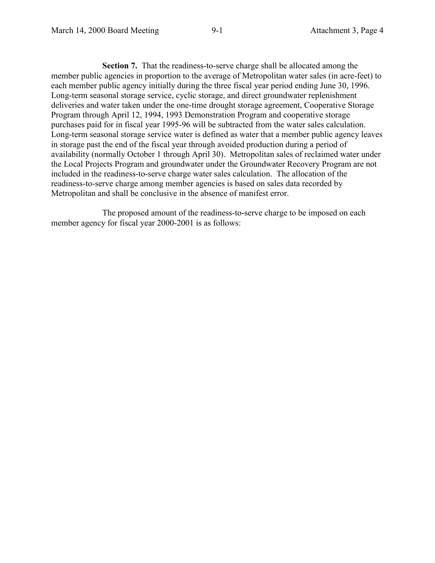**Section 7.** That the readiness-to-serve charge shall be allocated among the member public agencies in proportion to the average of Metropolitan water sales (in acre-feet) to each member public agency initially during the three fiscal year period ending June 30, 1996. Long-term seasonal storage service, cyclic storage, and direct groundwater replenishment deliveries and water taken under the one-time drought storage agreement, Cooperative Storage Program through April 12, 1994, 1993 Demonstration Program and cooperative storage purchases paid for in fiscal year 1995-96 will be subtracted from the water sales calculation. Long-term seasonal storage service water is defined as water that a member public agency leaves in storage past the end of the fiscal year through avoided production during a period of availability (normally October 1 through April 30). Metropolitan sales of reclaimed water under the Local Projects Program and groundwater under the Groundwater Recovery Program are not included in the readiness-to-serve charge water sales calculation. The allocation of the readiness-to-serve charge among member agencies is based on sales data recorded by Metropolitan and shall be conclusive in the absence of manifest error.

The proposed amount of the readiness-to-serve charge to be imposed on each member agency for fiscal year 2000-2001 is as follows: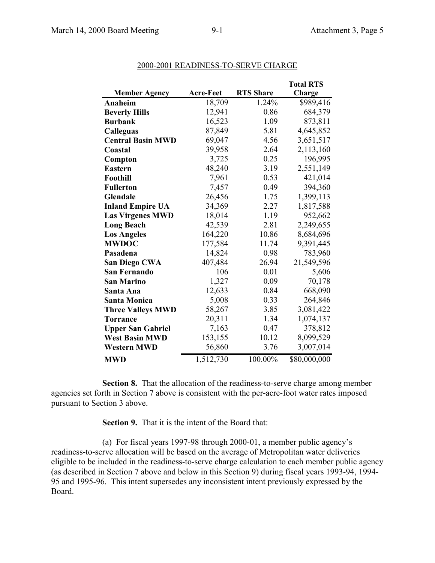|                          |                  |                  | <b>Total RTS</b> |
|--------------------------|------------------|------------------|------------------|
| <b>Member Agency</b>     | <b>Acre-Feet</b> | <b>RTS Share</b> | Charge           |
| Anaheim                  | 18,709           | 1.24%            | \$989,416        |
| <b>Beverly Hills</b>     | 12,941           | 0.86             | 684,379          |
| <b>Burbank</b>           | 16,523           | 1.09             | 873,811          |
| <b>Calleguas</b>         | 87,849           | 5.81             | 4,645,852        |
| <b>Central Basin MWD</b> | 69,047           | 4.56             | 3,651,517        |
| Coastal                  | 39,958           | 2.64             | 2,113,160        |
| Compton                  | 3,725            | 0.25             | 196,995          |
| <b>Eastern</b>           | 48,240           | 3.19             | 2,551,149        |
| Foothill                 | 7,961            | 0.53             | 421,014          |
| <b>Fullerton</b>         | 7,457            | 0.49             | 394,360          |
| <b>Glendale</b>          | 26,456           | 1.75             | 1,399,113        |
| <b>Inland Empire UA</b>  | 34,369           | 2.27             | 1,817,588        |
| <b>Las Virgenes MWD</b>  | 18,014           | 1.19             | 952,662          |
| <b>Long Beach</b>        | 42,539           | 2.81             | 2,249,655        |
| <b>Los Angeles</b>       | 164,220          | 10.86            | 8,684,696        |
| <b>MWDOC</b>             | 177,584          | 11.74            | 9,391,445        |
| Pasadena                 | 14,824           | 0.98             | 783,960          |
| <b>San Diego CWA</b>     | 407,484          | 26.94            | 21,549,596       |
| <b>San Fernando</b>      | 106              | 0.01             | 5,606            |
| <b>San Marino</b>        | 1,327            | 0.09             | 70,178           |
| Santa Ana                | 12,633           | 0.84             | 668,090          |
| <b>Santa Monica</b>      | 5,008            | 0.33             | 264,846          |
| <b>Three Valleys MWD</b> | 58,267           | 3.85             | 3,081,422        |
| <b>Torrance</b>          | 20,311           | 1.34             | 1,074,137        |
| <b>Upper San Gabriel</b> | 7,163            | 0.47             | 378,812          |
| <b>West Basin MWD</b>    | 153,155          | 10.12            | 8,099,529        |
| <b>Western MWD</b>       | 56,860           | 3.76             | 3,007,014        |
| <b>MWD</b>               | 1,512,730        | 100.00%          | \$80,000,000     |

#### 2000-2001 READINESS-TO-SERVE CHARGE

**Section 8.** That the allocation of the readiness-to-serve charge among member agencies set forth in Section 7 above is consistent with the per-acre-foot water rates imposed pursuant to Section 3 above.

**Section 9.** That it is the intent of the Board that:

(a) For fiscal years 1997-98 through 2000-01, a member public agency's readiness-to-serve allocation will be based on the average of Metropolitan water deliveries eligible to be included in the readiness-to-serve charge calculation to each member public agency (as described in Section 7 above and below in this Section 9) during fiscal years 1993-94, 1994- 95 and 1995-96. This intent supersedes any inconsistent intent previously expressed by the Board.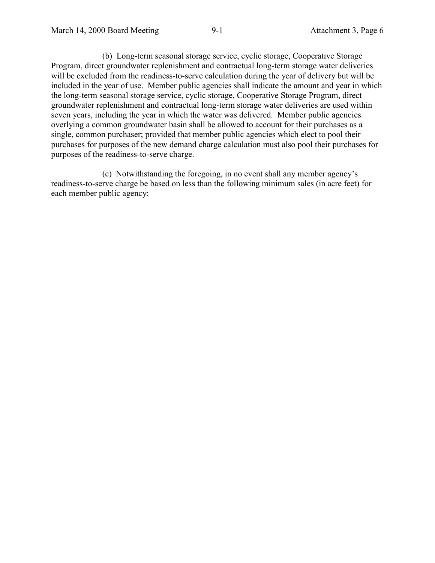(b) Long-term seasonal storage service, cyclic storage, Cooperative Storage Program, direct groundwater replenishment and contractual long-term storage water deliveries will be excluded from the readiness-to-serve calculation during the year of delivery but will be included in the year of use. Member public agencies shall indicate the amount and year in which the long-term seasonal storage service, cyclic storage, Cooperative Storage Program, direct groundwater replenishment and contractual long-term storage water deliveries are used within seven years, including the year in which the water was delivered. Member public agencies overlying a common groundwater basin shall be allowed to account for their purchases as a single, common purchaser; provided that member public agencies which elect to pool their purchases for purposes of the new demand charge calculation must also pool their purchases for purposes of the readiness-to-serve charge.

(c) Notwithstanding the foregoing, in no event shall any member agency's readiness-to-serve charge be based on less than the following minimum sales (in acre feet) for each member public agency: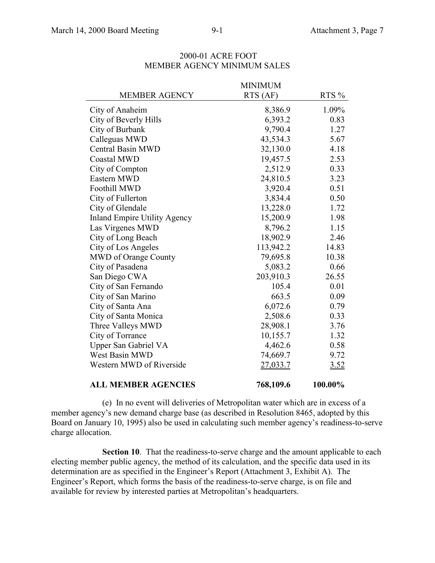|                                     | <b>MINIMUM</b> |         |
|-------------------------------------|----------------|---------|
| <b>MEMBER AGENCY</b>                | RTS (AF)       | RTS %   |
| City of Anaheim                     | 8,386.9        | 1.09%   |
| City of Beverly Hills               | 6,393.2        | 0.83    |
| City of Burbank                     | 9,790.4        | 1.27    |
| Calleguas MWD                       | 43,534.3       | 5.67    |
| <b>Central Basin MWD</b>            | 32,130.0       | 4.18    |
| <b>Coastal MWD</b>                  | 19,457.5       | 2.53    |
| City of Compton                     | 2,512.9        | 0.33    |
| Eastern MWD                         | 24,810.5       | 3.23    |
| Foothill MWD                        | 3,920.4        | 0.51    |
| City of Fullerton                   | 3,834.4        | 0.50    |
| City of Glendale                    | 13,228.0       | 1.72    |
| <b>Inland Empire Utility Agency</b> | 15,200.9       | 1.98    |
| Las Virgenes MWD                    | 8,796.2        | 1.15    |
| City of Long Beach                  | 18,902.9       | 2.46    |
| City of Los Angeles                 | 113,942.2      | 14.83   |
| MWD of Orange County                | 79,695.8       | 10.38   |
| City of Pasadena                    | 5,083.2        | 0.66    |
| San Diego CWA                       | 203,910.3      | 26.55   |
| City of San Fernando                | 105.4          | 0.01    |
| City of San Marino                  | 663.5          | 0.09    |
| City of Santa Ana                   | 6,072.6        | 0.79    |
| City of Santa Monica                | 2,508.6        | 0.33    |
| Three Valleys MWD                   | 28,908.1       | 3.76    |
| City of Torrance                    | 10,155.7       | 1.32    |
| Upper San Gabriel VA                | 4,462.6        | 0.58    |
| West Basin MWD                      | 74,669.7       | 9.72    |
| Western MWD of Riverside            | 27,033.7       | 3.52    |
| <b>ALL MEMBER AGENCIES</b>          | 768,109.6      | 100.00% |

#### 2000-01 ACRE FOOT MEMBER AGENCY MINIMUM SALES

(e) In no event will deliveries of Metropolitan water which are in excess of a member agency's new demand charge base (as described in Resolution 8465, adopted by this Board on January 10, 1995) also be used in calculating such member agency's readiness-to-serve charge allocation.

**Section 10**. That the readiness-to-serve charge and the amount applicable to each electing member public agency, the method of its calculation, and the specific data used in its determination are as specified in the Engineer's Report (Attachment 3, Exhibit A). The Engineer's Report, which forms the basis of the readiness-to-serve charge, is on file and available for review by interested parties at Metropolitan's headquarters.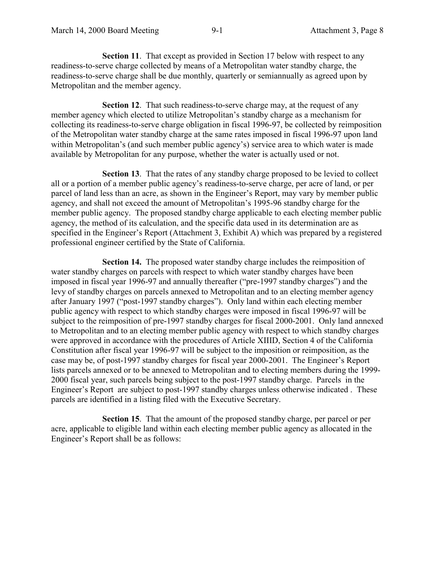**Section 11.** That except as provided in Section 17 below with respect to any readiness-to-serve charge collected by means of a Metropolitan water standby charge, the readiness-to-serve charge shall be due monthly, quarterly or semiannually as agreed upon by Metropolitan and the member agency.

**Section 12.** That such readiness-to-serve charge may, at the request of any member agency which elected to utilize Metropolitan's standby charge as a mechanism for collecting its readiness-to-serve charge obligation in fiscal 1996-97, be collected by reimposition of the Metropolitan water standby charge at the same rates imposed in fiscal 1996-97 upon land within Metropolitan's (and such member public agency's) service area to which water is made available by Metropolitan for any purpose, whether the water is actually used or not.

**Section 13**. That the rates of any standby charge proposed to be levied to collect all or a portion of a member public agency's readiness-to-serve charge, per acre of land, or per parcel of land less than an acre, as shown in the Engineer's Report, may vary by member public agency, and shall not exceed the amount of Metropolitan's 1995-96 standby charge for the member public agency. The proposed standby charge applicable to each electing member public agency, the method of its calculation, and the specific data used in its determination are as specified in the Engineer's Report (Attachment 3, Exhibit A) which was prepared by a registered professional engineer certified by the State of California.

**Section 14.** The proposed water standby charge includes the reimposition of water standby charges on parcels with respect to which water standby charges have been imposed in fiscal year 1996-97 and annually thereafter ("pre-1997 standby charges") and the levy of standby charges on parcels annexed to Metropolitan and to an electing member agency after January 1997 ("post-1997 standby charges"). Only land within each electing member public agency with respect to which standby charges were imposed in fiscal 1996-97 will be subject to the reimposition of pre-1997 standby charges for fiscal 2000-2001. Only land annexed to Metropolitan and to an electing member public agency with respect to which standby charges were approved in accordance with the procedures of Article XIIID, Section 4 of the California Constitution after fiscal year 1996-97 will be subject to the imposition or reimposition, as the case may be, of post-1997 standby charges for fiscal year 2000-2001. The Engineer's Report lists parcels annexed or to be annexed to Metropolitan and to electing members during the 1999- 2000 fiscal year, such parcels being subject to the post-1997 standby charge. Parcels in the Engineer's Report are subject to post-1997 standby charges unless otherwise indicated . These parcels are identified in a listing filed with the Executive Secretary.

**Section 15**. That the amount of the proposed standby charge, per parcel or per acre, applicable to eligible land within each electing member public agency as allocated in the Engineer's Report shall be as follows: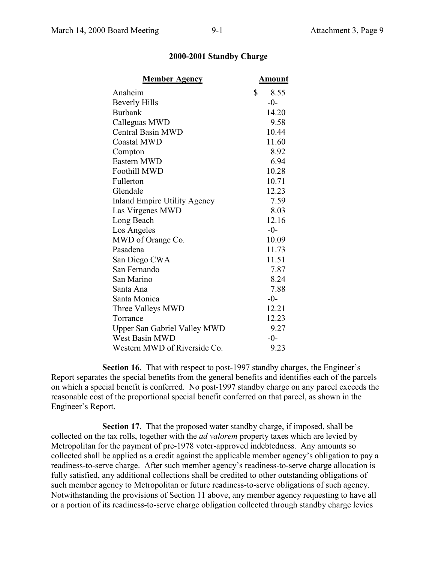| <b>Member Agency</b>                | <u>Amount</u> |
|-------------------------------------|---------------|
| Anaheim                             | \$<br>8.55    |
| <b>Beverly Hills</b>                | $-0-$         |
| <b>Burbank</b>                      | 14.20         |
| Calleguas MWD                       | 9.58          |
| <b>Central Basin MWD</b>            | 10.44         |
| Coastal MWD                         | 11.60         |
| Compton                             | 8.92          |
| Eastern MWD                         | 6.94          |
| Foothill MWD                        | 10.28         |
| Fullerton                           | 10.71         |
| Glendale                            | 12.23         |
| <b>Inland Empire Utility Agency</b> | 7.59          |
| Las Virgenes MWD                    | 8.03          |
| Long Beach                          | 12.16         |
| Los Angeles                         | $-0-$         |
| MWD of Orange Co.                   | 10.09         |
| Pasadena                            | 11.73         |
| San Diego CWA                       | 11.51         |
| San Fernando                        | 7.87          |
| San Marino                          | 8.24          |
| Santa Ana                           | 7.88          |
| Santa Monica                        | $-0-$         |
| Three Valleys MWD                   | 12.21         |
| Torrance                            | 12.23         |
| <b>Upper San Gabriel Valley MWD</b> | 9.27          |
| West Basin MWD                      | $-0-$         |
| Western MWD of Riverside Co.        | 9.23          |

#### **2000-2001 Standby Charge**

**Section 16**. That with respect to post-1997 standby charges, the Engineer's Report separates the special benefits from the general benefits and identifies each of the parcels on which a special benefit is conferred. No post-1997 standby charge on any parcel exceeds the reasonable cost of the proportional special benefit conferred on that parcel, as shown in the Engineer's Report.

**Section 17.** That the proposed water standby charge, if imposed, shall be collected on the tax rolls, together with the *ad valorem* property taxes which are levied by Metropolitan for the payment of pre-1978 voter-approved indebtedness. Any amounts so collected shall be applied as a credit against the applicable member agency's obligation to pay a readiness-to-serve charge. After such member agency's readiness-to-serve charge allocation is fully satisfied, any additional collections shall be credited to other outstanding obligations of such member agency to Metropolitan or future readiness-to-serve obligations of such agency. Notwithstanding the provisions of Section 11 above, any member agency requesting to have all or a portion of its readiness-to-serve charge obligation collected through standby charge levies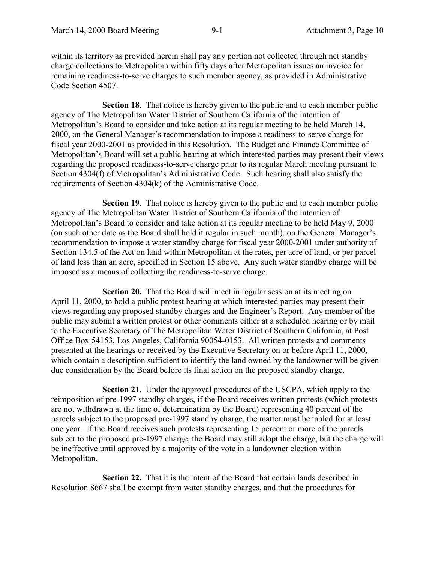within its territory as provided herein shall pay any portion not collected through net standby charge collections to Metropolitan within fifty days after Metropolitan issues an invoice for remaining readiness-to-serve charges to such member agency, as provided in Administrative Code Section 4507.

**Section 18**. That notice is hereby given to the public and to each member public agency of The Metropolitan Water District of Southern California of the intention of Metropolitan's Board to consider and take action at its regular meeting to be held March 14, 2000, on the General Manager's recommendation to impose a readiness-to-serve charge for fiscal year 2000-2001 as provided in this Resolution. The Budget and Finance Committee of Metropolitan's Board will set a public hearing at which interested parties may present their views regarding the proposed readiness-to-serve charge prior to its regular March meeting pursuant to Section 4304(f) of Metropolitan's Administrative Code. Such hearing shall also satisfy the requirements of Section 4304(k) of the Administrative Code.

**Section 19**. That notice is hereby given to the public and to each member public agency of The Metropolitan Water District of Southern California of the intention of Metropolitan's Board to consider and take action at its regular meeting to be held May 9, 2000 (on such other date as the Board shall hold it regular in such month), on the General Manager's recommendation to impose a water standby charge for fiscal year 2000-2001 under authority of Section 134.5 of the Act on land within Metropolitan at the rates, per acre of land, or per parcel of land less than an acre, specified in Section 15 above. Any such water standby charge will be imposed as a means of collecting the readiness-to-serve charge.

**Section 20.** That the Board will meet in regular session at its meeting on April 11, 2000, to hold a public protest hearing at which interested parties may present their views regarding any proposed standby charges and the Engineer's Report. Any member of the public may submit a written protest or other comments either at a scheduled hearing or by mail to the Executive Secretary of The Metropolitan Water District of Southern California, at Post Office Box 54153, Los Angeles, California 90054-0153. All written protests and comments presented at the hearings or received by the Executive Secretary on or before April 11, 2000, which contain a description sufficient to identify the land owned by the landowner will be given due consideration by the Board before its final action on the proposed standby charge.

**Section 21**. Under the approval procedures of the USCPA, which apply to the reimposition of pre-1997 standby charges, if the Board receives written protests (which protests are not withdrawn at the time of determination by the Board) representing 40 percent of the parcels subject to the proposed pre-1997 standby charge, the matter must be tabled for at least one year. If the Board receives such protests representing 15 percent or more of the parcels subject to the proposed pre-1997 charge, the Board may still adopt the charge, but the charge will be ineffective until approved by a majority of the vote in a landowner election within Metropolitan.

**Section 22.** That it is the intent of the Board that certain lands described in Resolution 8667 shall be exempt from water standby charges, and that the procedures for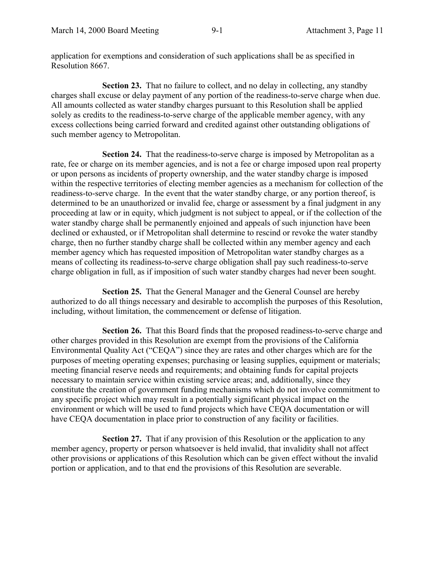application for exemptions and consideration of such applications shall be as specified in Resolution 8667.

**Section 23.** That no failure to collect, and no delay in collecting, any standby charges shall excuse or delay payment of any portion of the readiness-to-serve charge when due. All amounts collected as water standby charges pursuant to this Resolution shall be applied solely as credits to the readiness-to-serve charge of the applicable member agency, with any excess collections being carried forward and credited against other outstanding obligations of such member agency to Metropolitan.

**Section 24.** That the readiness-to-serve charge is imposed by Metropolitan as a rate, fee or charge on its member agencies, and is not a fee or charge imposed upon real property or upon persons as incidents of property ownership, and the water standby charge is imposed within the respective territories of electing member agencies as a mechanism for collection of the readiness-to-serve charge. In the event that the water standby charge, or any portion thereof, is determined to be an unauthorized or invalid fee, charge or assessment by a final judgment in any proceeding at law or in equity, which judgment is not subject to appeal, or if the collection of the water standby charge shall be permanently enjoined and appeals of such injunction have been declined or exhausted, or if Metropolitan shall determine to rescind or revoke the water standby charge, then no further standby charge shall be collected within any member agency and each member agency which has requested imposition of Metropolitan water standby charges as a means of collecting its readiness-to-serve charge obligation shall pay such readiness-to-serve charge obligation in full, as if imposition of such water standby charges had never been sought.

**Section 25.** That the General Manager and the General Counsel are hereby authorized to do all things necessary and desirable to accomplish the purposes of this Resolution, including, without limitation, the commencement or defense of litigation.

**Section 26.** That this Board finds that the proposed readiness-to-serve charge and other charges provided in this Resolution are exempt from the provisions of the California Environmental Quality Act ("CEQA") since they are rates and other charges which are for the purposes of meeting operating expenses; purchasing or leasing supplies, equipment or materials; meeting financial reserve needs and requirements; and obtaining funds for capital projects necessary to maintain service within existing service areas; and, additionally, since they constitute the creation of government funding mechanisms which do not involve commitment to any specific project which may result in a potentially significant physical impact on the environment or which will be used to fund projects which have CEQA documentation or will have CEQA documentation in place prior to construction of any facility or facilities.

**Section 27.** That if any provision of this Resolution or the application to any member agency, property or person whatsoever is held invalid, that invalidity shall not affect other provisions or applications of this Resolution which can be given effect without the invalid portion or application, and to that end the provisions of this Resolution are severable.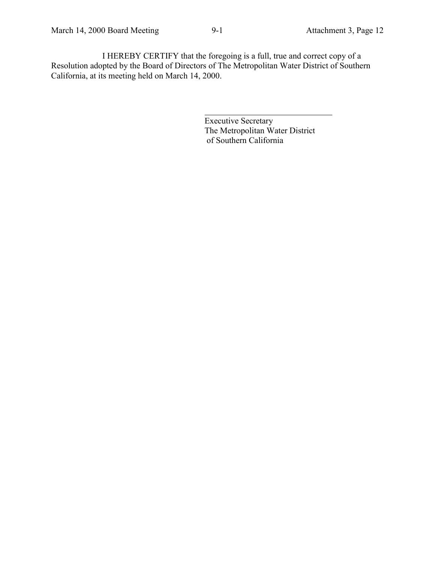l

Executive Secretary The Metropolitan Water District of Southern California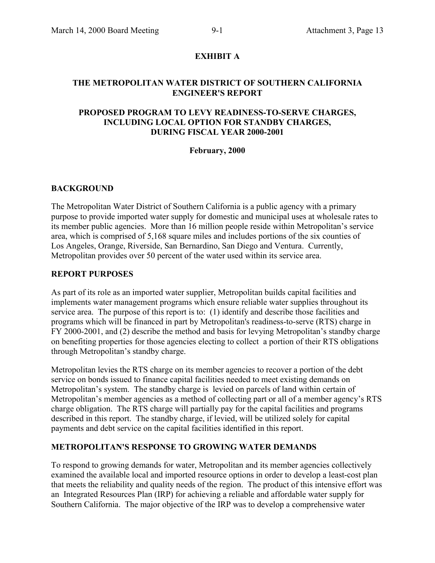#### **EXHIBIT A**

#### **THE METROPOLITAN WATER DISTRICT OF SOUTHERN CALIFORNIA ENGINEER'S REPORT**

#### **PROPOSED PROGRAM TO LEVY READINESS-TO-SERVE CHARGES, INCLUDING LOCAL OPTION FOR STANDBY CHARGES, DURING FISCAL YEAR 2000-2001**

#### **February, 2000**

#### **BACKGROUND**

The Metropolitan Water District of Southern California is a public agency with a primary purpose to provide imported water supply for domestic and municipal uses at wholesale rates to its member public agencies. More than 16 million people reside within Metropolitan's service area, which is comprised of 5,168 square miles and includes portions of the six counties of Los Angeles, Orange, Riverside, San Bernardino, San Diego and Ventura. Currently, Metropolitan provides over 50 percent of the water used within its service area.

#### **REPORT PURPOSES**

As part of its role as an imported water supplier, Metropolitan builds capital facilities and implements water management programs which ensure reliable water supplies throughout its service area. The purpose of this report is to: (1) identify and describe those facilities and programs which will be financed in part by Metropolitan's readiness-to-serve (RTS) charge in FY 2000-2001, and (2) describe the method and basis for levying Metropolitan's standby charge on benefiting properties for those agencies electing to collect a portion of their RTS obligations through Metropolitan's standby charge.

Metropolitan levies the RTS charge on its member agencies to recover a portion of the debt service on bonds issued to finance capital facilities needed to meet existing demands on Metropolitan's system. The standby charge is levied on parcels of land within certain of Metropolitan's member agencies as a method of collecting part or all of a member agency's RTS charge obligation. The RTS charge will partially pay for the capital facilities and programs described in this report. The standby charge, if levied, will be utilized solely for capital payments and debt service on the capital facilities identified in this report.

#### **METROPOLITAN'S RESPONSE TO GROWING WATER DEMANDS**

To respond to growing demands for water, Metropolitan and its member agencies collectively examined the available local and imported resource options in order to develop a least-cost plan that meets the reliability and quality needs of the region. The product of this intensive effort was an Integrated Resources Plan (IRP) for achieving a reliable and affordable water supply for Southern California. The major objective of the IRP was to develop a comprehensive water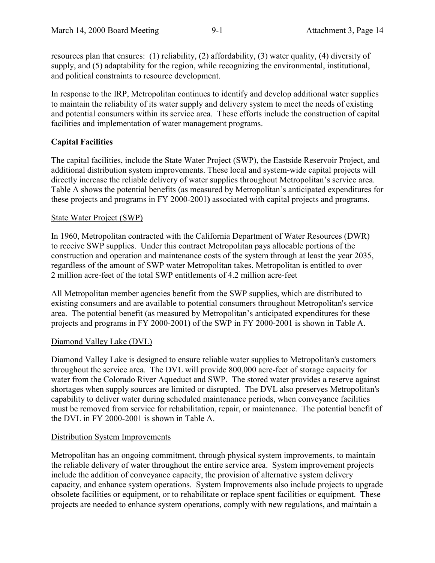resources plan that ensures: (1) reliability, (2) affordability, (3) water quality, (4) diversity of supply, and (5) adaptability for the region, while recognizing the environmental, institutional, and political constraints to resource development.

In response to the IRP, Metropolitan continues to identify and develop additional water supplies to maintain the reliability of its water supply and delivery system to meet the needs of existing and potential consumers within its service area. These efforts include the construction of capital facilities and implementation of water management programs.

#### **Capital Facilities**

The capital facilities, include the State Water Project (SWP), the Eastside Reservoir Project, and additional distribution system improvements. These local and system-wide capital projects will directly increase the reliable delivery of water supplies throughout Metropolitan's service area. Table A shows the potential benefits (as measured by Metropolitan's anticipated expenditures for these projects and programs in FY 2000-2001**)** associated with capital projects and programs.

#### State Water Project (SWP)

In 1960, Metropolitan contracted with the California Department of Water Resources (DWR) to receive SWP supplies. Under this contract Metropolitan pays allocable portions of the construction and operation and maintenance costs of the system through at least the year 2035, regardless of the amount of SWP water Metropolitan takes. Metropolitan is entitled to over 2 million acre-feet of the total SWP entitlements of 4.2 million acre-feet

All Metropolitan member agencies benefit from the SWP supplies, which are distributed to existing consumers and are available to potential consumers throughout Metropolitan's service area. The potential benefit (as measured by Metropolitan's anticipated expenditures for these projects and programs in FY 2000-2001**)** of the SWP in FY 2000-2001 is shown in Table A.

#### Diamond Valley Lake (DVL)

Diamond Valley Lake is designed to ensure reliable water supplies to Metropolitan's customers throughout the service area. The DVL will provide 800,000 acre-feet of storage capacity for water from the Colorado River Aqueduct and SWP. The stored water provides a reserve against shortages when supply sources are limited or disrupted. The DVL also preserves Metropolitan's capability to deliver water during scheduled maintenance periods, when conveyance facilities must be removed from service for rehabilitation, repair, or maintenance. The potential benefit of the DVL in FY 2000-2001 is shown in Table A.

#### Distribution System Improvements

Metropolitan has an ongoing commitment, through physical system improvements, to maintain the reliable delivery of water throughout the entire service area. System improvement projects include the addition of conveyance capacity, the provision of alternative system delivery capacity, and enhance system operations. System Improvements also include projects to upgrade obsolete facilities or equipment, or to rehabilitate or replace spent facilities or equipment. These projects are needed to enhance system operations, comply with new regulations, and maintain a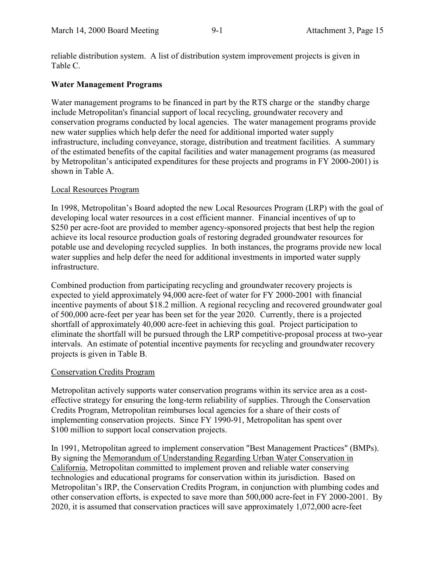reliable distribution system. A list of distribution system improvement projects is given in Table C.

#### **Water Management Programs**

Water management programs to be financed in part by the RTS charge or the standby charge include Metropolitan's financial support of local recycling, groundwater recovery and conservation programs conducted by local agencies. The water management programs provide new water supplies which help defer the need for additional imported water supply infrastructure, including conveyance, storage, distribution and treatment facilities. A summary of the estimated benefits of the capital facilities and water management programs (as measured by Metropolitan's anticipated expenditures for these projects and programs in FY 2000-2001) is shown in Table A.

#### Local Resources Program

In 1998, Metropolitan's Board adopted the new Local Resources Program (LRP) with the goal of developing local water resources in a cost efficient manner. Financial incentives of up to \$250 per acre-foot are provided to member agency-sponsored projects that best help the region achieve its local resource production goals of restoring degraded groundwater resources for potable use and developing recycled supplies. In both instances, the programs provide new local water supplies and help defer the need for additional investments in imported water supply infrastructure.

Combined production from participating recycling and groundwater recovery projects is expected to yield approximately 94,000 acre-feet of water for FY 2000-2001 with financial incentive payments of about \$18.2 million. A regional recycling and recovered groundwater goal of 500,000 acre-feet per year has been set for the year 2020. Currently, there is a projected shortfall of approximately 40,000 acre-feet in achieving this goal. Project participation to eliminate the shortfall will be pursued through the LRP competitive-proposal process at two-year intervals. An estimate of potential incentive payments for recycling and groundwater recovery projects is given in Table B.

#### Conservation Credits Program

Metropolitan actively supports water conservation programs within its service area as a costeffective strategy for ensuring the long-term reliability of supplies. Through the Conservation Credits Program, Metropolitan reimburses local agencies for a share of their costs of implementing conservation projects. Since FY 1990-91, Metropolitan has spent over \$100 million to support local conservation projects.

In 1991, Metropolitan agreed to implement conservation "Best Management Practices" (BMPs). By signing the Memorandum of Understanding Regarding Urban Water Conservation in California, Metropolitan committed to implement proven and reliable water conserving technologies and educational programs for conservation within its jurisdiction. Based on Metropolitan's IRP, the Conservation Credits Program, in conjunction with plumbing codes and other conservation efforts, is expected to save more than 500,000 acre-feet in FY 2000-2001. By 2020, it is assumed that conservation practices will save approximately 1,072,000 acre-feet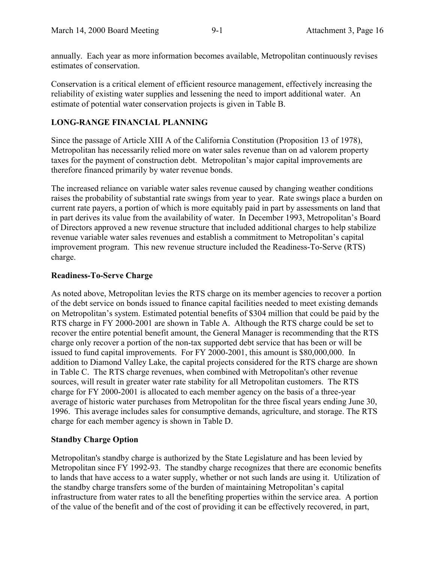annually. Each year as more information becomes available, Metropolitan continuously revises estimates of conservation.

Conservation is a critical element of efficient resource management, effectively increasing the reliability of existing water supplies and lessening the need to import additional water. An estimate of potential water conservation projects is given in Table B.

#### **LONG-RANGE FINANCIAL PLANNING**

Since the passage of Article XIII A of the California Constitution (Proposition 13 of 1978), Metropolitan has necessarily relied more on water sales revenue than on ad valorem property taxes for the payment of construction debt. Metropolitan's major capital improvements are therefore financed primarily by water revenue bonds.

The increased reliance on variable water sales revenue caused by changing weather conditions raises the probability of substantial rate swings from year to year. Rate swings place a burden on current rate payers, a portion of which is more equitably paid in part by assessments on land that in part derives its value from the availability of water. In December 1993, Metropolitan's Board of Directors approved a new revenue structure that included additional charges to help stabilize revenue variable water sales revenues and establish a commitment to Metropolitan's capital improvement program. This new revenue structure included the Readiness-To-Serve (RTS) charge.

#### **Readiness-To-Serve Charge**

As noted above, Metropolitan levies the RTS charge on its member agencies to recover a portion of the debt service on bonds issued to finance capital facilities needed to meet existing demands on Metropolitan's system. Estimated potential benefits of \$304 million that could be paid by the RTS charge in FY 2000-2001 are shown in Table A. Although the RTS charge could be set to recover the entire potential benefit amount, the General Manager is recommending that the RTS charge only recover a portion of the non-tax supported debt service that has been or will be issued to fund capital improvements. For FY 2000-2001, this amount is \$80,000,000. In addition to Diamond Valley Lake, the capital projects considered for the RTS charge are shown in Table C. The RTS charge revenues, when combined with Metropolitan's other revenue sources, will result in greater water rate stability for all Metropolitan customers. The RTS charge for FY 2000-2001 is allocated to each member agency on the basis of a three-year average of historic water purchases from Metropolitan for the three fiscal years ending June 30, 1996. This average includes sales for consumptive demands, agriculture, and storage. The RTS charge for each member agency is shown in Table D.

#### **Standby Charge Option**

Metropolitan's standby charge is authorized by the State Legislature and has been levied by Metropolitan since FY 1992-93. The standby charge recognizes that there are economic benefits to lands that have access to a water supply, whether or not such lands are using it. Utilization of the standby charge transfers some of the burden of maintaining Metropolitan's capital infrastructure from water rates to all the benefiting properties within the service area. A portion of the value of the benefit and of the cost of providing it can be effectively recovered, in part,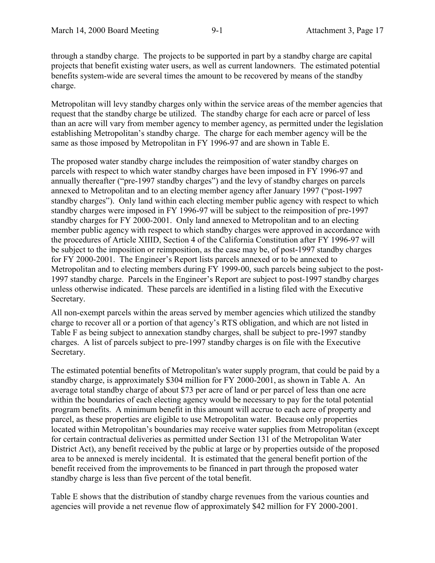through a standby charge. The projects to be supported in part by a standby charge are capital projects that benefit existing water users, as well as current landowners. The estimated potential benefits system-wide are several times the amount to be recovered by means of the standby charge.

Metropolitan will levy standby charges only within the service areas of the member agencies that request that the standby charge be utilized. The standby charge for each acre or parcel of less than an acre will vary from member agency to member agency, as permitted under the legislation establishing Metropolitan's standby charge. The charge for each member agency will be the same as those imposed by Metropolitan in FY 1996-97 and are shown in Table E.

The proposed water standby charge includes the reimposition of water standby charges on parcels with respect to which water standby charges have been imposed in FY 1996-97 and annually thereafter ("pre-1997 standby charges") and the levy of standby charges on parcels annexed to Metropolitan and to an electing member agency after January 1997 ("post-1997 standby charges"). Only land within each electing member public agency with respect to which standby charges were imposed in FY 1996-97 will be subject to the reimposition of pre-1997 standby charges for FY 2000-2001. Only land annexed to Metropolitan and to an electing member public agency with respect to which standby charges were approved in accordance with the procedures of Article XIIID, Section 4 of the California Constitution after FY 1996-97 will be subject to the imposition or reimposition, as the case may be, of post-1997 standby charges for FY 2000-2001. The Engineer's Report lists parcels annexed or to be annexed to Metropolitan and to electing members during FY 1999-00, such parcels being subject to the post-1997 standby charge. Parcels in the Engineer's Report are subject to post-1997 standby charges unless otherwise indicated. These parcels are identified in a listing filed with the Executive Secretary.

All non-exempt parcels within the areas served by member agencies which utilized the standby charge to recover all or a portion of that agency's RTS obligation, and which are not listed in Table F as being subject to annexation standby charges, shall be subject to pre-1997 standby charges. A list of parcels subject to pre-1997 standby charges is on file with the Executive Secretary.

The estimated potential benefits of Metropolitan's water supply program, that could be paid by a standby charge, is approximately \$304 million for FY 2000-2001, as shown in Table A. An average total standby charge of about \$73 per acre of land or per parcel of less than one acre within the boundaries of each electing agency would be necessary to pay for the total potential program benefits. A minimum benefit in this amount will accrue to each acre of property and parcel, as these properties are eligible to use Metropolitan water. Because only properties located within Metropolitan's boundaries may receive water supplies from Metropolitan (except for certain contractual deliveries as permitted under Section 131 of the Metropolitan Water District Act), any benefit received by the public at large or by properties outside of the proposed area to be annexed is merely incidental. It is estimated that the general benefit portion of the benefit received from the improvements to be financed in part through the proposed water standby charge is less than five percent of the total benefit.

Table E shows that the distribution of standby charge revenues from the various counties and agencies will provide a net revenue flow of approximately \$42 million for FY 2000-2001.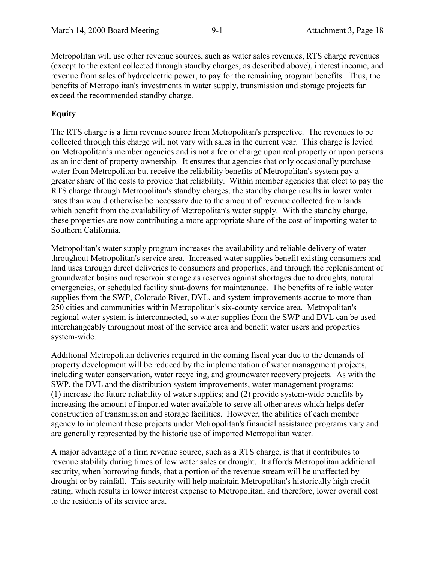Metropolitan will use other revenue sources, such as water sales revenues, RTS charge revenues (except to the extent collected through standby charges, as described above), interest income, and revenue from sales of hydroelectric power, to pay for the remaining program benefits. Thus, the benefits of Metropolitan's investments in water supply, transmission and storage projects far exceed the recommended standby charge.

#### **Equity**

The RTS charge is a firm revenue source from Metropolitan's perspective. The revenues to be collected through this charge will not vary with sales in the current year. This charge is levied on Metropolitan's member agencies and is not a fee or charge upon real property or upon persons as an incident of property ownership. It ensures that agencies that only occasionally purchase water from Metropolitan but receive the reliability benefits of Metropolitan's system pay a greater share of the costs to provide that reliability. Within member agencies that elect to pay the RTS charge through Metropolitan's standby charges, the standby charge results in lower water rates than would otherwise be necessary due to the amount of revenue collected from lands which benefit from the availability of Metropolitan's water supply. With the standby charge, these properties are now contributing a more appropriate share of the cost of importing water to Southern California.

Metropolitan's water supply program increases the availability and reliable delivery of water throughout Metropolitan's service area. Increased water supplies benefit existing consumers and land uses through direct deliveries to consumers and properties, and through the replenishment of groundwater basins and reservoir storage as reserves against shortages due to droughts, natural emergencies, or scheduled facility shut-downs for maintenance. The benefits of reliable water supplies from the SWP, Colorado River, DVL, and system improvements accrue to more than 250 cities and communities within Metropolitan's six-county service area. Metropolitan's regional water system is interconnected, so water supplies from the SWP and DVL can be used interchangeably throughout most of the service area and benefit water users and properties system-wide.

Additional Metropolitan deliveries required in the coming fiscal year due to the demands of property development will be reduced by the implementation of water management projects, including water conservation, water recycling, and groundwater recovery projects. As with the SWP, the DVL and the distribution system improvements, water management programs: (1) increase the future reliability of water supplies; and (2) provide system-wide benefits by increasing the amount of imported water available to serve all other areas which helps defer construction of transmission and storage facilities. However, the abilities of each member agency to implement these projects under Metropolitan's financial assistance programs vary and are generally represented by the historic use of imported Metropolitan water.

A major advantage of a firm revenue source, such as a RTS charge, is that it contributes to revenue stability during times of low water sales or drought. It affords Metropolitan additional security, when borrowing funds, that a portion of the revenue stream will be unaffected by drought or by rainfall. This security will help maintain Metropolitan's historically high credit rating, which results in lower interest expense to Metropolitan, and therefore, lower overall cost to the residents of its service area.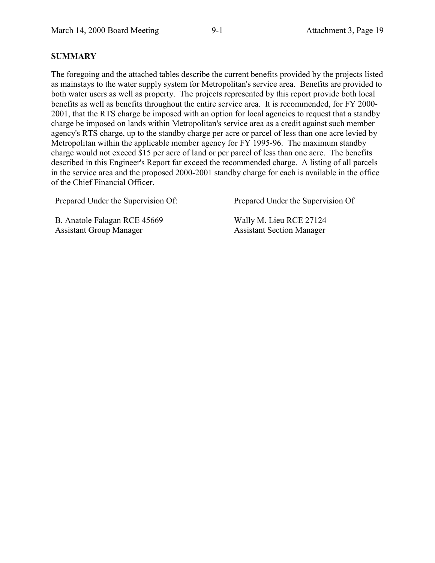#### **SUMMARY**

The foregoing and the attached tables describe the current benefits provided by the projects listed as mainstays to the water supply system for Metropolitan's service area. Benefits are provided to both water users as well as property. The projects represented by this report provide both local benefits as well as benefits throughout the entire service area. It is recommended, for FY 2000- 2001, that the RTS charge be imposed with an option for local agencies to request that a standby charge be imposed on lands within Metropolitan's service area as a credit against such member agency's RTS charge, up to the standby charge per acre or parcel of less than one acre levied by Metropolitan within the applicable member agency for FY 1995-96. The maximum standby charge would not exceed \$15 per acre of land or per parcel of less than one acre. The benefits described in this Engineer's Report far exceed the recommended charge. A listing of all parcels in the service area and the proposed 2000-2001 standby charge for each is available in the office of the Chief Financial Officer.

Prepared Under the Supervision Of: Prepared Under the Supervision Of

B. Anatole Falagan RCE 45669 Assistant Group Manager

Wally M. Lieu RCE 27124 Assistant Section Manager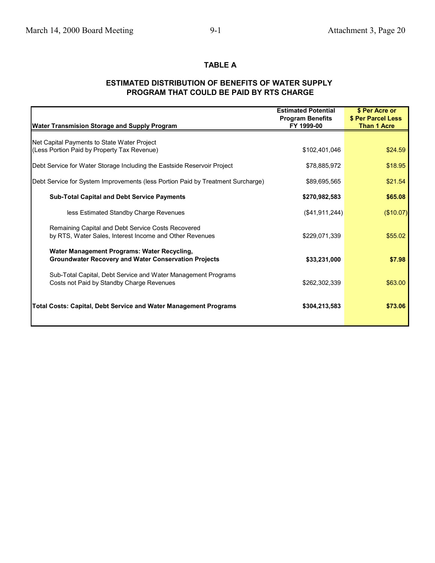#### **TABLE A**

#### **ESTIMATED DISTRIBUTION OF BENEFITS OF WATER SUPPLY PROGRAM THAT COULD BE PAID BY RTS CHARGE**

|                                                                                 | <b>Estimated Potential</b> | \$ Per Acre or     |
|---------------------------------------------------------------------------------|----------------------------|--------------------|
|                                                                                 | <b>Program Benefits</b>    | \$ Per Parcel Less |
| <b>Water Transmision Storage and Supply Program</b>                             | FY 1999-00                 | Than 1 Acre        |
|                                                                                 |                            |                    |
| Net Capital Payments to State Water Project                                     |                            |                    |
| (Less Portion Paid by Property Tax Revenue)                                     | \$102,401,046              | \$24.59            |
|                                                                                 | \$78,885,972               |                    |
| Debt Service for Water Storage Including the Eastside Reservoir Project         |                            | \$18.95            |
| Debt Service for System Improvements (less Portion Paid by Treatment Surcharge) | \$89,695,565               | \$21.54            |
|                                                                                 |                            |                    |
| <b>Sub-Total Capital and Debt Service Payments</b>                              | \$270,982,583              | \$65.08            |
|                                                                                 |                            |                    |
| less Estimated Standby Charge Revenues                                          | (S41, 911, 244)            | (\$10.07)          |
|                                                                                 |                            |                    |
| Remaining Capital and Debt Service Costs Recovered                              |                            |                    |
| by RTS, Water Sales, Interest Income and Other Revenues                         | \$229,071,339              | \$55.02            |
| Water Management Programs: Water Recycling,                                     |                            |                    |
| <b>Groundwater Recovery and Water Conservation Projects</b>                     | \$33,231,000               | \$7.98             |
|                                                                                 |                            |                    |
| Sub-Total Capital, Debt Service and Water Management Programs                   |                            |                    |
| Costs not Paid by Standby Charge Revenues                                       | \$262,302,339              | \$63.00            |
|                                                                                 |                            |                    |
|                                                                                 |                            |                    |
| <b>Total Costs: Capital, Debt Service and Water Management Programs</b>         | \$304,213,583              | \$73.06            |
|                                                                                 |                            |                    |
|                                                                                 |                            |                    |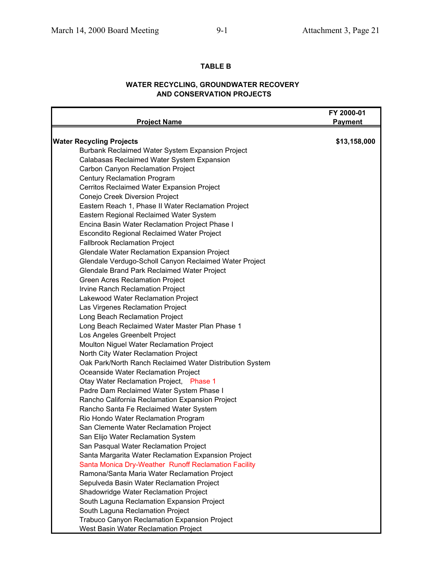#### **TABLE B**

#### **WATER RECYCLING, GROUNDWATER RECOVERY AND CONSERVATION PROJECTS**

|                                                          | FY 2000-01     |
|----------------------------------------------------------|----------------|
| <b>Project Name</b>                                      | <b>Payment</b> |
| <b>Water Recycling Projects</b>                          | \$13,158,000   |
| Burbank Reclaimed Water System Expansion Project         |                |
| Calabasas Reclaimed Water System Expansion               |                |
| Carbon Canyon Reclamation Project                        |                |
| <b>Century Reclamation Program</b>                       |                |
| Cerritos Reclaimed Water Expansion Project               |                |
| Conejo Creek Diversion Project                           |                |
| Eastern Reach 1, Phase II Water Reclamation Project      |                |
| Eastern Regional Reclaimed Water System                  |                |
| Encina Basin Water Reclamation Project Phase I           |                |
| <b>Escondito Regional Reclaimed Water Project</b>        |                |
| <b>Fallbrook Reclamation Project</b>                     |                |
| <b>Glendale Water Reclamation Expansion Project</b>      |                |
| Glendale Verdugo-Scholl Canyon Reclaimed Water Project   |                |
| Glendale Brand Park Reclaimed Water Project              |                |
| Green Acres Reclamation Project                          |                |
| Irvine Ranch Reclamation Project                         |                |
| Lakewood Water Reclamation Project                       |                |
| Las Virgenes Reclamation Project                         |                |
| Long Beach Reclamation Project                           |                |
| Long Beach Reclaimed Water Master Plan Phase 1           |                |
| Los Angeles Greenbelt Project                            |                |
| Moulton Niguel Water Reclamation Project                 |                |
| North City Water Reclamation Project                     |                |
| Oak Park/North Ranch Reclaimed Water Distribution System |                |
| Oceanside Water Reclamation Project                      |                |
| Otay Water Reclamation Project, Phase 1                  |                |
| Padre Dam Reclaimed Water System Phase I                 |                |
| Rancho California Reclamation Expansion Project          |                |
| Rancho Santa Fe Reclaimed Water System                   |                |
| Rio Hondo Water Reclamation Program                      |                |
| San Clemente Water Reclamation Project                   |                |
| San Elijo Water Reclamation System                       |                |
| San Pasqual Water Reclamation Project                    |                |
| Santa Margarita Water Reclamation Expansion Project      |                |
| Santa Monica Dry-Weather Runoff Reclamation Facility     |                |
| Ramona/Santa Maria Water Reclamation Project             |                |
| Sepulveda Basin Water Reclamation Project                |                |
| Shadowridge Water Reclamation Project                    |                |
| South Laguna Reclamation Expansion Project               |                |
| South Laguna Reclamation Project                         |                |
| Trabuco Canyon Reclamation Expansion Project             |                |
| West Basin Water Reclamation Project                     |                |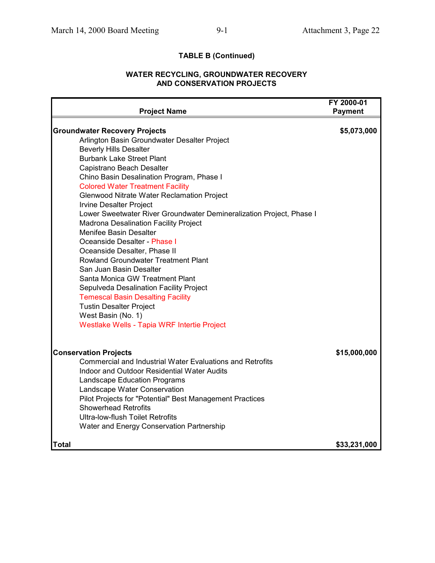### **TABLE B (Continued)**

#### **WATER RECYCLING, GROUNDWATER RECOVERY AND CONSERVATION PROJECTS**

| <b>Project Name</b>                                                                     | FY 2000-01<br><b>Payment</b> |
|-----------------------------------------------------------------------------------------|------------------------------|
|                                                                                         |                              |
| <b>Groundwater Recovery Projects</b><br>Arlington Basin Groundwater Desalter Project    | \$5,073,000                  |
| <b>Beverly Hills Desalter</b>                                                           |                              |
| <b>Burbank Lake Street Plant</b>                                                        |                              |
| Capistrano Beach Desalter                                                               |                              |
| Chino Basin Desalination Program, Phase I                                               |                              |
| <b>Colored Water Treatment Facility</b>                                                 |                              |
| <b>Glenwood Nitrate Water Reclamation Project</b>                                       |                              |
| <b>Irvine Desalter Project</b>                                                          |                              |
| Lower Sweetwater River Groundwater Demineralization Project, Phase I                    |                              |
| <b>Madrona Desalination Facility Project</b>                                            |                              |
| Menifee Basin Desalter                                                                  |                              |
| Oceanside Desalter - Phase I                                                            |                              |
| Oceanside Desalter, Phase II                                                            |                              |
| <b>Rowland Groundwater Treatment Plant</b>                                              |                              |
| San Juan Basin Desalter                                                                 |                              |
| Santa Monica GW Treatment Plant                                                         |                              |
| Sepulveda Desalination Facility Project                                                 |                              |
| <b>Temescal Basin Desalting Facility</b>                                                |                              |
| <b>Tustin Desalter Project</b>                                                          |                              |
| West Basin (No. 1)                                                                      |                              |
| Westlake Wells - Tapia WRF Intertie Project                                             |                              |
|                                                                                         |                              |
| <b>Conservation Projects</b>                                                            | \$15,000,000                 |
| Commercial and Industrial Water Evaluations and Retrofits                               |                              |
| <b>Indoor and Outdoor Residential Water Audits</b>                                      |                              |
| Landscape Education Programs                                                            |                              |
| Landscape Water Conservation                                                            |                              |
| Pilot Projects for "Potential" Best Management Practices<br><b>Showerhead Retrofits</b> |                              |
| <b>Ultra-low-flush Toilet Retrofits</b>                                                 |                              |
| Water and Energy Conservation Partnership                                               |                              |
| <b>Total</b>                                                                            | \$33,231,000                 |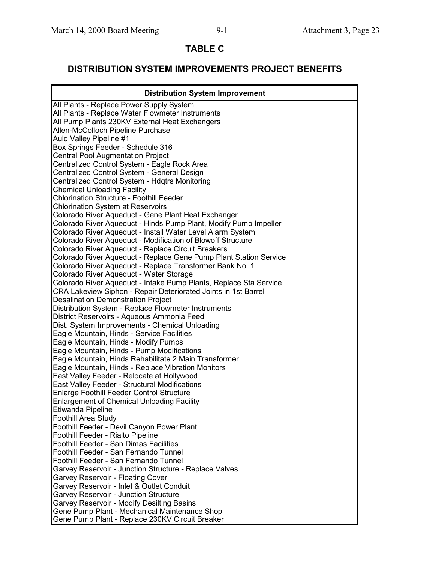### **TABLE C**

### **DISTRIBUTION SYSTEM IMPROVEMENTS PROJECT BENEFITS**

| <b>Distribution System Improvement</b>                            |
|-------------------------------------------------------------------|
| All Plants - Replace Power Supply System                          |
| All Plants - Replace Water Flowmeter Instruments                  |
| All Pump Plants 230KV External Heat Exchangers                    |
| Allen-McColloch Pipeline Purchase                                 |
| Auld Valley Pipeline #1                                           |
| Box Springs Feeder - Schedule 316                                 |
| Central Pool Augmentation Project                                 |
| Centralized Control System - Eagle Rock Area                      |
| Centralized Control System - General Design                       |
| Centralized Control System - Hdqtrs Monitoring                    |
| <b>Chemical Unloading Facility</b>                                |
| Chlorination Structure - Foothill Feeder                          |
| <b>Chlorination System at Reservoirs</b>                          |
| Colorado River Aqueduct - Gene Plant Heat Exchanger               |
| Colorado River Aqueduct - Hinds Pump Plant, Modify Pump Impeller  |
| Colorado River Aqueduct - Install Water Level Alarm System        |
| Colorado River Aqueduct - Modification of Blowoff Structure       |
| Colorado River Aqueduct - Replace Circuit Breakers                |
| Colorado River Aqueduct - Replace Gene Pump Plant Station Service |
| Colorado River Aqueduct - Replace Transformer Bank No. 1          |
| Colorado River Aqueduct - Water Storage                           |
| Colorado River Aqueduct - Intake Pump Plants, Replace Sta Service |
| CRA Lakeview Siphon - Repair Deteriorated Joints in 1st Barrel    |
| <b>Desalination Demonstration Project</b>                         |
| Distribution System - Replace Flowmeter Instruments               |
| District Reservoirs - Aqueous Ammonia Feed                        |
| Dist. System Improvements - Chemical Unloading                    |
| Eagle Mountain, Hinds - Service Facilities                        |
| Eagle Mountain, Hinds - Modify Pumps                              |
| Eagle Mountain, Hinds - Pump Modifications                        |
| Eagle Mountain, Hinds Rehabilitate 2 Main Transformer             |
| Eagle Mountain, Hinds - Replace Vibration Monitors                |
| East Valley Feeder - Relocate at Hollywood                        |
| East Valley Feeder - Structural Modifications                     |
| <b>Enlarge Foothill Feeder Control Structure</b>                  |
| <b>Enlargement of Chemical Unloading Facility</b>                 |
| Etiwanda Pipeline                                                 |
| Foothill Area Study                                               |
| Foothill Feeder - Devil Canyon Power Plant                        |
| Foothill Feeder - Rialto Pipeline                                 |
| <b>Foothill Feeder - San Dimas Facilities</b>                     |
| Foothill Feeder - San Fernando Tunnel                             |
| Foothill Feeder - San Fernando Tunnel                             |
| Garvey Reservoir - Junction Structure - Replace Valves            |
| Garvey Reservoir - Floating Cover                                 |
| Garvey Reservoir - Inlet & Outlet Conduit                         |
| <b>Garvey Reservoir - Junction Structure</b>                      |
| Garvey Reservoir - Modify Desilting Basins                        |
| Gene Pump Plant - Mechanical Maintenance Shop                     |
| Gene Pump Plant - Replace 230KV Circuit Breaker                   |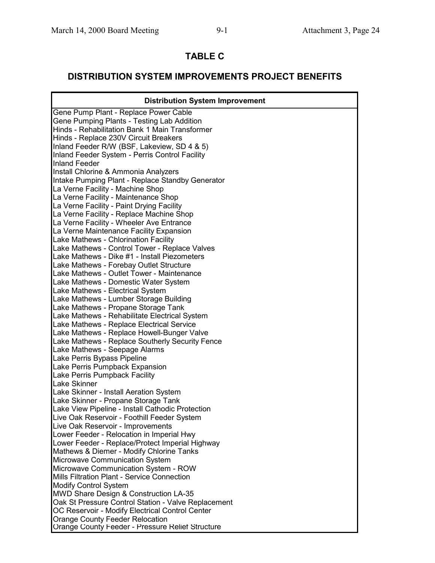### **TABLE C**

### **DISTRIBUTION SYSTEM IMPROVEMENTS PROJECT BENEFITS**

| <b>Distribution System Improvement</b>              |
|-----------------------------------------------------|
| Gene Pump Plant - Replace Power Cable               |
| Gene Pumping Plants - Testing Lab Addition          |
| Hinds - Rehabilitation Bank 1 Main Transformer      |
| Hinds - Replace 230V Circuit Breakers               |
| Inland Feeder R/W (BSF, Lakeview, SD 4 & 5)         |
| Inland Feeder System - Perris Control Facility      |
| <b>Inland Feeder</b>                                |
| Install Chlorine & Ammonia Analyzers                |
| Intake Pumping Plant - Replace Standby Generator    |
| La Verne Facility - Machine Shop                    |
| La Verne Facility - Maintenance Shop                |
| La Verne Facility - Paint Drying Facility           |
| La Verne Facility - Replace Machine Shop            |
| La Verne Facility - Wheeler Ave Entrance            |
| La Verne Maintenance Facility Expansion             |
| Lake Mathews - Chlorination Facility                |
| Lake Mathews - Control Tower - Replace Valves       |
| Lake Mathews - Dike #1 - Install Piezometers        |
| Lake Mathews - Forebay Outlet Structure             |
| Lake Mathews - Outlet Tower - Maintenance           |
| Lake Mathews - Domestic Water System                |
| Lake Mathews - Electrical System                    |
| Lake Mathews - Lumber Storage Building              |
| Lake Mathews - Propane Storage Tank                 |
| Lake Mathews - Rehabilitate Electrical System       |
| Lake Mathews - Replace Electrical Service           |
| Lake Mathews - Replace Howell-Bunger Valve          |
| Lake Mathews - Replace Southerly Security Fence     |
| Lake Mathews - Seepage Alarms                       |
| Lake Perris Bypass Pipeline                         |
| Lake Perris Pumpback Expansion                      |
| Lake Perris Pumpback Facility                       |
| <b>Lake Skinner</b>                                 |
| Lake Skinner - Install Aeration System              |
| Lake Skinner - Propane Storage Tank                 |
| Lake View Pipeline - Install Cathodic Protection    |
| Live Oak Reservoir - Foothill Feeder System         |
| Live Oak Reservoir - Improvements                   |
| Lower Feeder - Relocation in Imperial Hwy           |
| Lower Feeder - Replace/Protect Imperial Highway     |
| Mathews & Diemer - Modify Chlorine Tanks            |
| Microwave Communication System                      |
| Microwave Communication System - ROW                |
| Mills Filtration Plant - Service Connection         |
| <b>Modify Control System</b>                        |
| MWD Share Design & Construction LA-35               |
| Oak St Pressure Control Station - Valve Replacement |
| OC Reservoir - Modify Electrical Control Center     |
| <b>Orange County Feeder Relocation</b>              |
| Orange County Feeder - Pressure Relief Structure    |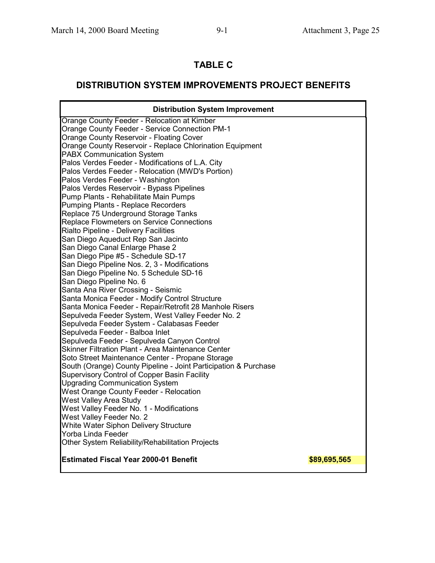## **TABLE C**

### **DISTRIBUTION SYSTEM IMPROVEMENTS PROJECT BENEFITS**

| <b>Distribution System Improvement</b>                          |              |
|-----------------------------------------------------------------|--------------|
| Orange County Feeder - Relocation at Kimber                     |              |
| <b>Orange County Feeder - Service Connection PM-1</b>           |              |
| <b>Orange County Reservoir - Floating Cover</b>                 |              |
| Orange County Reservoir - Replace Chlorination Equipment        |              |
| <b>PABX Communication System</b>                                |              |
| Palos Verdes Feeder - Modifications of L.A. City                |              |
| Palos Verdes Feeder - Relocation (MWD's Portion)                |              |
| Palos Verdes Feeder - Washington                                |              |
| Palos Verdes Reservoir - Bypass Pipelines                       |              |
| Pump Plants - Rehabilitate Main Pumps                           |              |
| Pumping Plants - Replace Recorders                              |              |
| Replace 75 Underground Storage Tanks                            |              |
| Replace Flowmeters on Service Connections                       |              |
| Rialto Pipeline - Delivery Facilities                           |              |
| San Diego Aqueduct Rep San Jacinto                              |              |
| San Diego Canal Enlarge Phase 2                                 |              |
| San Diego Pipe #5 - Schedule SD-17                              |              |
| San Diego Pipeline Nos. 2, 3 - Modifications                    |              |
| San Diego Pipeline No. 5 Schedule SD-16                         |              |
| San Diego Pipeline No. 6                                        |              |
| Santa Ana River Crossing - Seismic                              |              |
| Santa Monica Feeder - Modify Control Structure                  |              |
| Santa Monica Feeder - Repair/Retrofit 28 Manhole Risers         |              |
| Sepulveda Feeder System, West Valley Feeder No. 2               |              |
| Sepulveda Feeder System - Calabasas Feeder                      |              |
| Sepulveda Feeder - Balboa Inlet                                 |              |
| Sepulveda Feeder - Sepulveda Canyon Control                     |              |
| Skinner Filtration Plant - Area Maintenance Center              |              |
| Soto Street Maintenance Center - Propane Storage                |              |
| South (Orange) County Pipeline - Joint Participation & Purchase |              |
| <b>Supervisory Control of Copper Basin Facility</b>             |              |
| <b>Upgrading Communication System</b>                           |              |
| <b>West Orange County Feeder - Relocation</b>                   |              |
| <b>West Valley Area Study</b>                                   |              |
| West Valley Feeder No. 1 - Modifications                        |              |
| West Valley Feeder No. 2                                        |              |
| White Water Siphon Delivery Structure                           |              |
| Yorba Linda Feeder                                              |              |
| Other System Reliability/Rehabilitation Projects                |              |
| <b>Estimated Fiscal Year 2000-01 Benefit</b>                    | \$89,695,565 |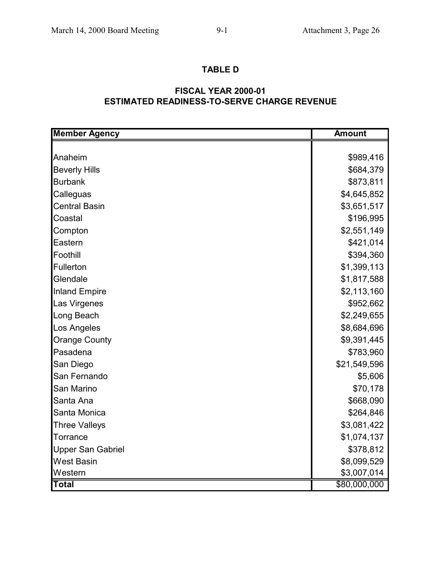### **TABLE D**

### **ESTIMATED READINESS-TO-SERVE CHARGE REVENUE FISCAL YEAR 2000-01**

| <b>Member Agency</b>     | <b>Amount</b> |
|--------------------------|---------------|
|                          |               |
| Anaheim                  | \$989,416     |
| <b>Beverly Hills</b>     | \$684,379     |
| <b>Burbank</b>           | \$873,811     |
| Calleguas                | \$4,645,852   |
| <b>Central Basin</b>     | \$3,651,517   |
| Coastal                  | \$196,995     |
| Compton                  | \$2,551,149   |
| Eastern                  | \$421,014     |
| Foothill                 | \$394,360     |
| Fullerton                | \$1,399,113   |
| Glendale                 | \$1,817,588   |
| <b>Inland Empire</b>     | \$2,113,160   |
| Las Virgenes             | \$952,662     |
| Long Beach               | \$2,249,655   |
| Los Angeles              | \$8,684,696   |
| <b>Orange County</b>     | \$9,391,445   |
| Pasadena                 | \$783,960     |
| San Diego                | \$21,549,596  |
| San Fernando             | \$5,606       |
| San Marino               | \$70,178      |
| Santa Ana                | \$668,090     |
| Santa Monica             | \$264,846     |
| <b>Three Valleys</b>     | \$3,081,422   |
| Torrance                 | \$1,074,137   |
| <b>Upper San Gabriel</b> | \$378,812     |
| <b>West Basin</b>        | \$8,099,529   |
| Western                  | \$3,007,014   |
| <b>Total</b>             | \$80,000,000  |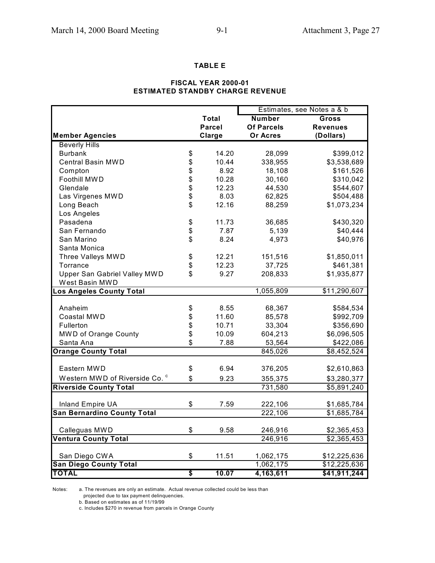#### **TABLE E**

#### **FISCAL YEAR 2000-01 ESTIMATED STANDBY CHARGE REVENUE**

|                                                |               |                        | Estimates, see Notes a & b   |
|------------------------------------------------|---------------|------------------------|------------------------------|
|                                                | Total         | <b>Number</b>          | Gross                        |
|                                                | <b>Parcel</b> | <b>Of Parcels</b>      | <b>Revenues</b>              |
| <b>Member Agencies</b>                         | <b>Clarge</b> | <b>Or Acres</b>        | (Dollars)                    |
| <b>Beverly Hills</b>                           |               |                        |                              |
| <b>Burbank</b>                                 | \$<br>14.20   | 28,099                 | \$399,012                    |
| <b>Central Basin MWD</b>                       | \$<br>10.44   | 338,955                | \$3,538,689                  |
| Compton                                        | \$<br>8.92    | 18,108                 | \$161,526                    |
| Foothill MWD                                   | \$<br>10.28   | 30,160                 | \$310,042                    |
| Glendale                                       | \$<br>12.23   | 44,530                 | \$544,607                    |
| Las Virgenes MWD                               | \$<br>8.03    | 62,825                 | \$504,488                    |
| Long Beach                                     | \$<br>12.16   | 88,259                 | \$1,073,234                  |
| Los Angeles                                    |               |                        |                              |
| Pasadena                                       | \$<br>11.73   | 36,685                 | \$430,320                    |
| San Fernando                                   | \$<br>7.87    | 5,139                  | \$40,444                     |
| San Marino                                     | \$<br>8.24    | 4,973                  | \$40,976                     |
| Santa Monica                                   |               |                        |                              |
| Three Valleys MWD                              | \$<br>12.21   | 151,516                | \$1,850,011                  |
| Torrance                                       | \$<br>12.23   | 37,725                 | \$461,381                    |
| Upper San Gabriel Valley MWD                   | \$<br>9.27    | 208,833                | \$1,935,877                  |
| West Basin MWD                                 |               |                        |                              |
| os Angeles County Total                        |               | 1,055,809              | \$11,290,607                 |
|                                                |               |                        |                              |
| Anaheim                                        | \$<br>8.55    | 68,367                 | \$584,534                    |
| Coastal MWD                                    | \$<br>11.60   | 85,578                 | \$992,709                    |
| Fullerton                                      | \$<br>10.71   | 33,304                 | \$356,690                    |
| MWD of Orange County                           | \$<br>10.09   | 604,213                | \$6,096,505                  |
| Santa Ana                                      | \$<br>7.88    | 53,564                 | \$422,086                    |
| <b>Orange County Total</b>                     |               | 845,026                | \$8,452,524                  |
|                                                |               |                        |                              |
| Eastern MWD                                    | \$<br>6.94    | 376,205                | \$2,610,863                  |
| Western MWD of Riverside Co. <sup>c</sup>      | \$<br>9.23    | 355,375                | \$3,280,377                  |
| <b>Riverside County Total</b>                  |               | 731,580                | $\overline{$5,891,240}$      |
|                                                |               |                        |                              |
| Inland Empire UA                               | \$<br>7.59    | 222,106                | \$1,685,784                  |
| <b>San Bernardino County Total</b>             |               | 222,106                | \$1,685,784                  |
|                                                |               |                        |                              |
| Calleguas MWD                                  | \$<br>9.58    | 246,916                | \$2,365,453                  |
| <b>Ventura County Total</b>                    |               | 246,916                | \$2,365,453                  |
|                                                | \$            |                        |                              |
| San Diego CWA<br><b>San Diego County Total</b> | 11.51         | 1,062,175<br>1,062,175 | \$12,225,636<br>\$12,225,636 |
| <b>TOTAL</b>                                   | \$<br>10.07   | 4,163,611              | \$41,911,244                 |
|                                                |               |                        |                              |

Notes: a. The revenues are only an estimate. Actual revenue collected could be less than

projected due to tax payment delinquencies.

b. Based on estimates as of 11/19/99

c. Includes \$270 in revenue from parcels in Orange County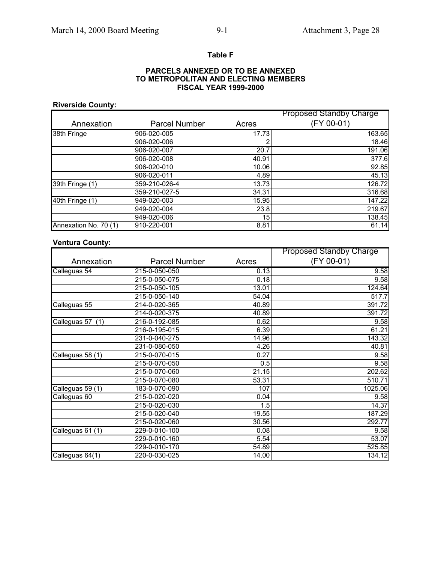#### **Table F**

#### **PARCELS ANNEXED OR TO BE ANNEXED FISCAL YEAR 1999-2000 TO METROPOLITAN AND ELECTING MEMBERS**

#### **Riverside County:**

|                       |                      |       | <b>Proposed Standby Charge</b> |
|-----------------------|----------------------|-------|--------------------------------|
| Annexation            | <b>Parcel Number</b> | Acres | (FY 00-01)                     |
| 38th Fringe           | 906-020-005          | 17.73 | 163.65                         |
|                       | 906-020-006          |       | 18.46                          |
|                       | 906-020-007          | 20.7  | 191.06                         |
|                       | 906-020-008          | 40.91 | 377.6                          |
|                       | 906-020-010          | 10.06 | 92.85                          |
|                       | 906-020-011          | 4.89  | 45.13                          |
| 39th Fringe (1)       | 359-210-026-4        | 13.73 | 126.72                         |
|                       | 359-210-027-5        | 34.31 | 316.68                         |
| 40th Fringe (1)       | 949-020-003          | 15.95 | 147.22                         |
|                       | 949-020-004          | 23.8  | 219.67                         |
|                       | 949-020-006          | 15    | 138.45                         |
| Annexation No. 70 (1) | 910-220-001          | 8.81  | 61.14                          |

### **Ventura County:**

|                  |                      |       | <b>Proposed Standby Charge</b> |
|------------------|----------------------|-------|--------------------------------|
| Annexation       | <b>Parcel Number</b> | Acres | (FY 00-01)                     |
| Calleguas 54     | 215-0-050-050        | 0.13  | 9.58                           |
|                  | 215-0-050-075        | 0.18  | 9.58                           |
|                  | 215-0-050-105        | 13.01 | 124.64                         |
|                  | 215-0-050-140        | 54.04 | 517.7                          |
| Calleguas 55     | 214-0-020-365        | 40.89 | 391.72                         |
|                  | 214-0-020-375        | 40.89 | 391.72                         |
| Calleguas 57 (1) | 216-0-192-085        | 0.62  | 9.58                           |
|                  | 216-0-195-015        | 6.39  | 61.21                          |
|                  | 231-0-040-275        | 14.96 | 143.32                         |
|                  | 231-0-080-050        | 4.26  | 40.81                          |
| Calleguas 58 (1) | 215-0-070-015        | 0.27  | 9.58                           |
|                  | 215-0-070-050        | 0.5   | 9.58                           |
|                  | 215-0-070-060        | 21.15 | 202.62                         |
|                  | 215-0-070-080        | 53.31 | 510.71                         |
| Calleguas 59 (1) | 183-0-070-090        | 107   | 1025.06                        |
| Calleguas 60     | 215-0-020-020        | 0.04  | 9.58                           |
|                  | 215-0-020-030        | 1.5   | $\overline{14.37}$             |
|                  | 215-0-020-040        | 19.55 | 187.29                         |
|                  | 215-0-020-060        | 30.56 | 292.77                         |
| Calleguas 61 (1) | 229-0-010-100        | 0.08  | 9.58                           |
|                  | 229-0-010-160        | 5.54  | 53.07                          |
|                  | 229-0-010-170        | 54.89 | 525.85                         |
| Calleguas 64(1)  | 220-0-030-025        | 14.00 | 134.12                         |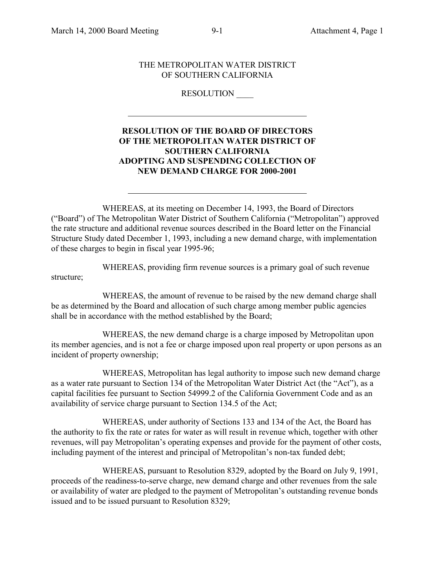l

 $\overline{a}$ 

#### THE METROPOLITAN WATER DISTRICT OF SOUTHERN CALIFORNIA

#### RESOLUTION \_\_\_\_

#### **RESOLUTION OF THE BOARD OF DIRECTORS OF THE METROPOLITAN WATER DISTRICT OF SOUTHERN CALIFORNIA ADOPTING AND SUSPENDING COLLECTION OF NEW DEMAND CHARGE FOR 2000-2001**

WHEREAS, at its meeting on December 14, 1993, the Board of Directors ("Board") of The Metropolitan Water District of Southern California ("Metropolitan") approved the rate structure and additional revenue sources described in the Board letter on the Financial Structure Study dated December 1, 1993, including a new demand charge, with implementation of these charges to begin in fiscal year 1995-96;

WHEREAS, providing firm revenue sources is a primary goal of such revenue structure;

WHEREAS, the amount of revenue to be raised by the new demand charge shall be as determined by the Board and allocation of such charge among member public agencies shall be in accordance with the method established by the Board;

WHEREAS, the new demand charge is a charge imposed by Metropolitan upon its member agencies, and is not a fee or charge imposed upon real property or upon persons as an incident of property ownership;

WHEREAS, Metropolitan has legal authority to impose such new demand charge as a water rate pursuant to Section 134 of the Metropolitan Water District Act (the "Act"), as a capital facilities fee pursuant to Section 54999.2 of the California Government Code and as an availability of service charge pursuant to Section 134.5 of the Act;

WHEREAS, under authority of Sections 133 and 134 of the Act, the Board has the authority to fix the rate or rates for water as will result in revenue which, together with other revenues, will pay Metropolitan's operating expenses and provide for the payment of other costs, including payment of the interest and principal of Metropolitan's non-tax funded debt;

WHEREAS, pursuant to Resolution 8329, adopted by the Board on July 9, 1991, proceeds of the readiness-to-serve charge, new demand charge and other revenues from the sale or availability of water are pledged to the payment of Metropolitan's outstanding revenue bonds issued and to be issued pursuant to Resolution 8329;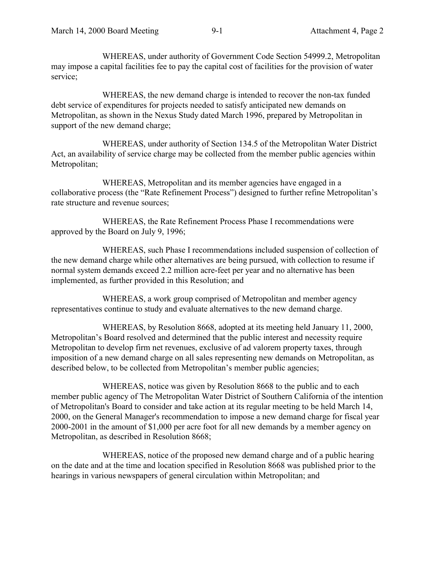WHEREAS, under authority of Government Code Section 54999.2, Metropolitan may impose a capital facilities fee to pay the capital cost of facilities for the provision of water service;

WHEREAS, the new demand charge is intended to recover the non-tax funded debt service of expenditures for projects needed to satisfy anticipated new demands on Metropolitan, as shown in the Nexus Study dated March 1996, prepared by Metropolitan in support of the new demand charge;

WHEREAS, under authority of Section 134.5 of the Metropolitan Water District Act, an availability of service charge may be collected from the member public agencies within Metropolitan;

WHEREAS, Metropolitan and its member agencies have engaged in a collaborative process (the "Rate Refinement Process") designed to further refine Metropolitan's rate structure and revenue sources;

WHEREAS, the Rate Refinement Process Phase I recommendations were approved by the Board on July 9, 1996;

WHEREAS, such Phase I recommendations included suspension of collection of the new demand charge while other alternatives are being pursued, with collection to resume if normal system demands exceed 2.2 million acre-feet per year and no alternative has been implemented, as further provided in this Resolution; and

WHEREAS, a work group comprised of Metropolitan and member agency representatives continue to study and evaluate alternatives to the new demand charge.

WHEREAS, by Resolution 8668, adopted at its meeting held January 11, 2000, Metropolitan's Board resolved and determined that the public interest and necessity require Metropolitan to develop firm net revenues, exclusive of ad valorem property taxes, through imposition of a new demand charge on all sales representing new demands on Metropolitan, as described below, to be collected from Metropolitan's member public agencies;

WHEREAS, notice was given by Resolution 8668 to the public and to each member public agency of The Metropolitan Water District of Southern California of the intention of Metropolitan's Board to consider and take action at its regular meeting to be held March 14, 2000, on the General Manager's recommendation to impose a new demand charge for fiscal year 2000-2001 in the amount of \$1,000 per acre foot for all new demands by a member agency on Metropolitan, as described in Resolution 8668;

WHEREAS, notice of the proposed new demand charge and of a public hearing on the date and at the time and location specified in Resolution 8668 was published prior to the hearings in various newspapers of general circulation within Metropolitan; and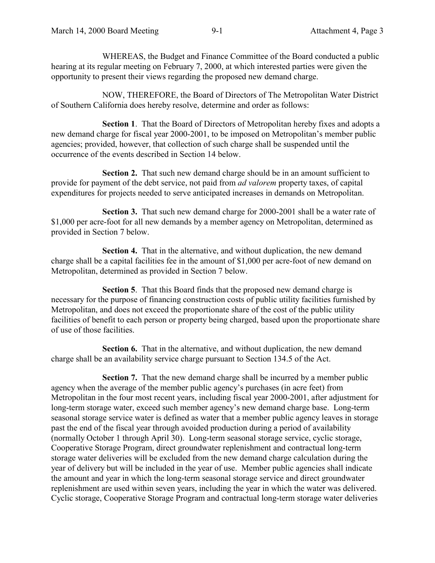WHEREAS, the Budget and Finance Committee of the Board conducted a public hearing at its regular meeting on February 7, 2000, at which interested parties were given the opportunity to present their views regarding the proposed new demand charge.

NOW, THEREFORE, the Board of Directors of The Metropolitan Water District of Southern California does hereby resolve, determine and order as follows:

**Section 1**. That the Board of Directors of Metropolitan hereby fixes and adopts a new demand charge for fiscal year 2000-2001, to be imposed on Metropolitan's member public agencies; provided, however, that collection of such charge shall be suspended until the occurrence of the events described in Section 14 below.

**Section 2.** That such new demand charge should be in an amount sufficient to provide for payment of the debt service, not paid from *ad valorem* property taxes, of capital expenditures for projects needed to serve anticipated increases in demands on Metropolitan.

**Section 3.** That such new demand charge for 2000-2001 shall be a water rate of \$1,000 per acre-foot for all new demands by a member agency on Metropolitan, determined as provided in Section 7 below.

**Section 4.** That in the alternative, and without duplication, the new demand charge shall be a capital facilities fee in the amount of \$1,000 per acre-foot of new demand on Metropolitan, determined as provided in Section 7 below.

**Section 5**. That this Board finds that the proposed new demand charge is necessary for the purpose of financing construction costs of public utility facilities furnished by Metropolitan, and does not exceed the proportionate share of the cost of the public utility facilities of benefit to each person or property being charged, based upon the proportionate share of use of those facilities.

**Section 6.** That in the alternative, and without duplication, the new demand charge shall be an availability service charge pursuant to Section 134.5 of the Act.

**Section 7.** That the new demand charge shall be incurred by a member public agency when the average of the member public agency's purchases (in acre feet) from Metropolitan in the four most recent years, including fiscal year 2000-2001, after adjustment for long-term storage water, exceed such member agency's new demand charge base. Long-term seasonal storage service water is defined as water that a member public agency leaves in storage past the end of the fiscal year through avoided production during a period of availability (normally October 1 through April 30). Long-term seasonal storage service, cyclic storage, Cooperative Storage Program, direct groundwater replenishment and contractual long-term storage water deliveries will be excluded from the new demand charge calculation during the year of delivery but will be included in the year of use. Member public agencies shall indicate the amount and year in which the long-term seasonal storage service and direct groundwater replenishment are used within seven years, including the year in which the water was delivered. Cyclic storage, Cooperative Storage Program and contractual long-term storage water deliveries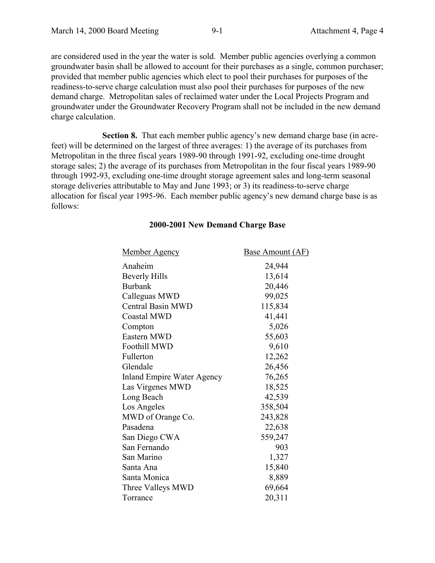are considered used in the year the water is sold. Member public agencies overlying a common groundwater basin shall be allowed to account for their purchases as a single, common purchaser; provided that member public agencies which elect to pool their purchases for purposes of the readiness-to-serve charge calculation must also pool their purchases for purposes of the new demand charge. Metropolitan sales of reclaimed water under the Local Projects Program and groundwater under the Groundwater Recovery Program shall not be included in the new demand charge calculation.

**Section 8.** That each member public agency's new demand charge base (in acrefeet) will be determined on the largest of three averages: 1) the average of its purchases from Metropolitan in the three fiscal years 1989-90 through 1991-92, excluding one-time drought storage sales; 2) the average of its purchases from Metropolitan in the four fiscal years 1989-90 through 1992-93, excluding one-time drought storage agreement sales and long-term seasonal storage deliveries attributable to May and June 1993; or 3) its readiness-to-serve charge allocation for fiscal year 1995-96. Each member public agency's new demand charge base is as follows:

| <b>Member Agency</b>              | <b>Base Amount (AF)</b> |
|-----------------------------------|-------------------------|
| Anaheim                           | 24,944                  |
| <b>Beverly Hills</b>              | 13,614                  |
| <b>Burbank</b>                    | 20,446                  |
| Calleguas MWD                     | 99,025                  |
| Central Basin MWD                 | 115,834                 |
| <b>Coastal MWD</b>                | 41,441                  |
| Compton                           | 5,026                   |
| Eastern MWD                       | 55,603                  |
| Foothill MWD                      | 9,610                   |
| Fullerton                         | 12,262                  |
| Glendale                          | 26,456                  |
| <b>Inland Empire Water Agency</b> | 76,265                  |
| Las Virgenes MWD                  | 18,525                  |
| Long Beach                        | 42,539                  |
| Los Angeles                       | 358,504                 |
| MWD of Orange Co.                 | 243,828                 |
| Pasadena                          | 22,638                  |
| San Diego CWA                     | 559,247                 |
| San Fernando                      | 903                     |
| San Marino                        | 1,327                   |
| Santa Ana                         | 15,840                  |
| Santa Monica                      | 8,889                   |
| Three Valleys MWD                 | 69,664                  |
| Torrance                          | 20,311                  |

#### **2000-2001 New Demand Charge Base**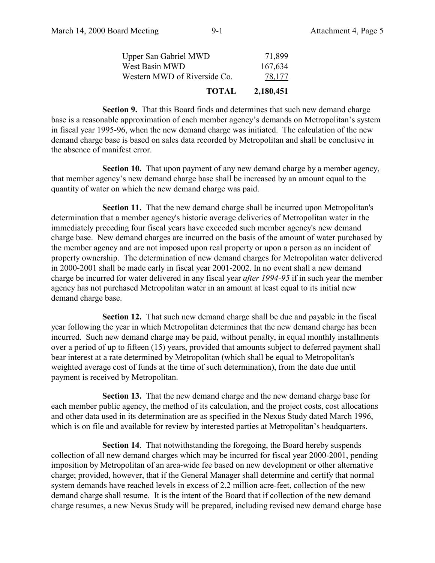| <b>TOTAL</b>                 | 2,180,451 |
|------------------------------|-----------|
| Western MWD of Riverside Co. | 78,177    |
| West Basin MWD               | 167,634   |
| <b>Upper San Gabriel MWD</b> | 71,899    |

**Section 9.** That this Board finds and determines that such new demand charge base is a reasonable approximation of each member agency's demands on Metropolitan's system in fiscal year 1995-96, when the new demand charge was initiated. The calculation of the new demand charge base is based on sales data recorded by Metropolitan and shall be conclusive in the absence of manifest error.

**Section 10.** That upon payment of any new demand charge by a member agency, that member agency's new demand charge base shall be increased by an amount equal to the quantity of water on which the new demand charge was paid.

**Section 11.** That the new demand charge shall be incurred upon Metropolitan's determination that a member agency's historic average deliveries of Metropolitan water in the immediately preceding four fiscal years have exceeded such member agency's new demand charge base. New demand charges are incurred on the basis of the amount of water purchased by the member agency and are not imposed upon real property or upon a person as an incident of property ownership. The determination of new demand charges for Metropolitan water delivered in 2000-2001 shall be made early in fiscal year 2001-2002. In no event shall a new demand charge be incurred for water delivered in any fiscal year *after 1994-95* if in such year the member agency has not purchased Metropolitan water in an amount at least equal to its initial new demand charge base.

**Section 12.** That such new demand charge shall be due and payable in the fiscal year following the year in which Metropolitan determines that the new demand charge has been incurred. Such new demand charge may be paid, without penalty, in equal monthly installments over a period of up to fifteen (15) years, provided that amounts subject to deferred payment shall bear interest at a rate determined by Metropolitan (which shall be equal to Metropolitan's weighted average cost of funds at the time of such determination), from the date due until payment is received by Metropolitan.

**Section 13.** That the new demand charge and the new demand charge base for each member public agency, the method of its calculation, and the project costs, cost allocations and other data used in its determination are as specified in the Nexus Study dated March 1996, which is on file and available for review by interested parties at Metropolitan's headquarters.

**Section 14**. That notwithstanding the foregoing, the Board hereby suspends collection of all new demand charges which may be incurred for fiscal year 2000-2001, pending imposition by Metropolitan of an area-wide fee based on new development or other alternative charge; provided, however, that if the General Manager shall determine and certify that normal system demands have reached levels in excess of 2.2 million acre-feet, collection of the new demand charge shall resume. It is the intent of the Board that if collection of the new demand charge resumes, a new Nexus Study will be prepared, including revised new demand charge base